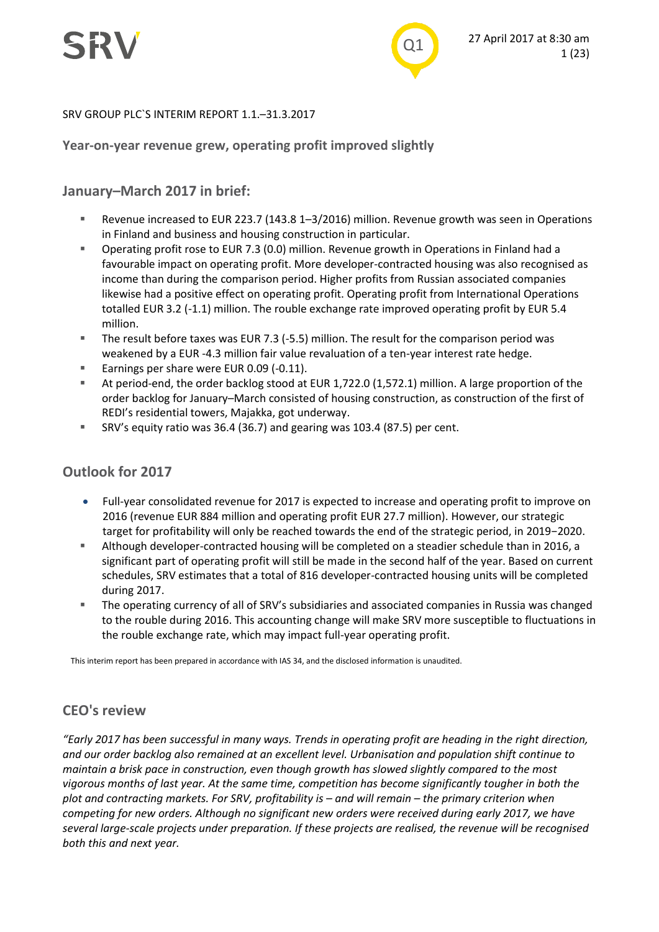

#### SRV GROUP PLC`S INTERIM REPORT 1.1.–31.3.2017

#### **Year-on-year revenue grew, operating profit improved slightly**

#### **January–March 2017 in brief:**

- Revenue increased to EUR 223.7 (143.8 1–3/2016) million. Revenue growth was seen in Operations in Finland and business and housing construction in particular.
- Operating profit rose to EUR 7.3 (0.0) million. Revenue growth in Operations in Finland had a favourable impact on operating profit. More developer-contracted housing was also recognised as income than during the comparison period. Higher profits from Russian associated companies likewise had a positive effect on operating profit. Operating profit from International Operations totalled EUR 3.2 (-1.1) million. The rouble exchange rate improved operating profit by EUR 5.4 million.
- The result before taxes was EUR 7.3 (-5.5) million. The result for the comparison period was weakened by a EUR -4.3 million fair value revaluation of a ten-year interest rate hedge.
- Earnings per share were EUR 0.09 (-0.11).
- At period-end, the order backlog stood at EUR 1,722.0 (1,572.1) million. A large proportion of the order backlog for January–March consisted of housing construction, as construction of the first of REDI's residential towers, Majakka, got underway.
- SRV's equity ratio was 36.4 (36.7) and gearing was 103.4 (87.5) per cent.

#### **Outlook for 2017**

- Full-year consolidated revenue for 2017 is expected to increase and operating profit to improve on 2016 (revenue EUR 884 million and operating profit EUR 27.7 million). However, our strategic target for profitability will only be reached towards the end of the strategic period, in 2019−2020.
- Although developer-contracted housing will be completed on a steadier schedule than in 2016, a significant part of operating profit will still be made in the second half of the year. Based on current schedules, SRV estimates that a total of 816 developer-contracted housing units will be completed during 2017.
- The operating currency of all of SRV's subsidiaries and associated companies in Russia was changed to the rouble during 2016. This accounting change will make SRV more susceptible to fluctuations in the rouble exchange rate, which may impact full-year operating profit.

*CEO's review*  This interim report has been prepared in accordance with IAS 34, and the disclosed information is unaudited.

### **CEO's review**

*"Early 2017 has been successful in many ways. Trends in operating profit are heading in the right direction, and our order backlog also remained at an excellent level. Urbanisation and population shift continue to maintain a brisk pace in construction, even though growth has slowed slightly compared to the most vigorous months of last year. At the same time, competition has become significantly tougher in both the plot and contracting markets. For SRV, profitability is – and will remain – the primary criterion when competing for new orders. Although no significant new orders were received during early 2017, we have several large-scale projects under preparation. If these projects are realised, the revenue will be recognised both this and next year.*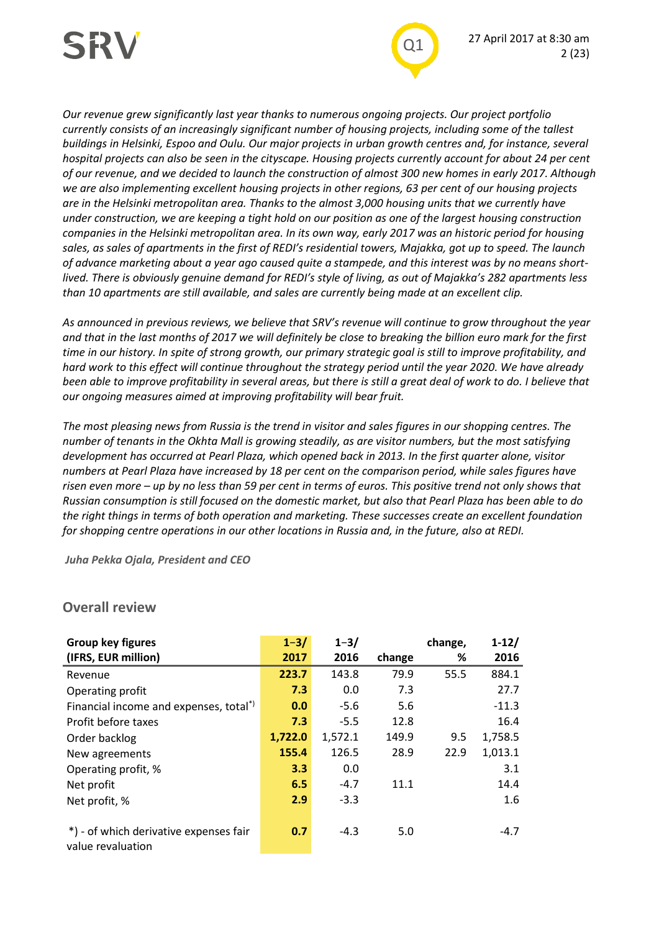



*Our revenue grew significantly last year thanks to numerous ongoing projects. Our project portfolio currently consists of an increasingly significant number of housing projects, including some of the tallest buildings in Helsinki, Espoo and Oulu. Our major projects in urban growth centres and, for instance, several hospital projects can also be seen in the cityscape. Housing projects currently account for about 24 per cent of our revenue, and we decided to launch the construction of almost 300 new homes in early 2017. Although we are also implementing excellent housing projects in other regions, 63 per cent of our housing projects are in the Helsinki metropolitan area. Thanks to the almost 3,000 housing units that we currently have under construction, we are keeping a tight hold on our position as one of the largest housing construction companies in the Helsinki metropolitan area. In its own way, early 2017 was an historic period for housing sales, as sales of apartments in the first of REDI's residential towers, Majakka, got up to speed. The launch of advance marketing about a year ago caused quite a stampede, and this interest was by no means shortlived. There is obviously genuine demand for REDI's style of living, as out of Majakka's 282 apartments less than 10 apartments are still available, and sales are currently being made at an excellent clip.* 

*As announced in previous reviews, we believe that SRV's revenue will continue to grow throughout the year and that in the last months of 2017 we will definitely be close to breaking the billion euro mark for the first time in our history. In spite of strong growth, our primary strategic goal is still to improve profitability, and hard work to this effect will continue throughout the strategy period until the year 2020. We have already been able to improve profitability in several areas, but there is still a great deal of work to do. I believe that our ongoing measures aimed at improving profitability will bear fruit.*

*The most pleasing news from Russia is the trend in visitor and sales figures in our shopping centres. The number of tenants in the Okhta Mall is growing steadily, as are visitor numbers, but the most satisfying development has occurred at Pearl Plaza, which opened back in 2013. In the first quarter alone, visitor numbers at Pearl Plaza have increased by 18 per cent on the comparison period, while sales figures have risen even more – up by no less than 59 per cent in terms of euros. This positive trend not only shows that Russian consumption is still focused on the domestic market, but also that Pearl Plaza has been able to do the right things in terms of both operation and marketing. These successes create an excellent foundation for shopping centre operations in our other locations in Russia and, in the future, also at REDI.*

*Juha Pekka Ojala, President and CEO*

| <b>Group key figures</b>                           | $1 - 3/$ | $1 - 3/$ |        | change, | $1 - 12/$ |
|----------------------------------------------------|----------|----------|--------|---------|-----------|
| (IFRS, EUR million)                                | 2017     | 2016     | change | %       | 2016      |
| Revenue                                            | 223.7    | 143.8    | 79.9   | 55.5    | 884.1     |
| Operating profit                                   | 7.3      | 0.0      | 7.3    |         | 27.7      |
| Financial income and expenses, total <sup>*)</sup> | 0.0      | $-5.6$   | 5.6    |         | $-11.3$   |
| Profit before taxes                                | 7.3      | $-5.5$   | 12.8   |         | 16.4      |
| Order backlog                                      | 1,722.0  | 1,572.1  | 149.9  | 9.5     | 1,758.5   |
| New agreements                                     | 155.4    | 126.5    | 28.9   | 22.9    | 1,013.1   |
| Operating profit, %                                | 3.3      | 0.0      |        |         | 3.1       |
| Net profit                                         | 6.5      | $-4.7$   | 11.1   |         | 14.4      |
| Net profit, %                                      | 2.9      | $-3.3$   |        |         | 1.6       |
|                                                    |          |          |        |         |           |
| *) - of which derivative expenses fair             | 0.7      | $-4.3$   | 5.0    |         | $-4.7$    |
| value revaluation                                  |          |          |        |         |           |

#### **Overall review**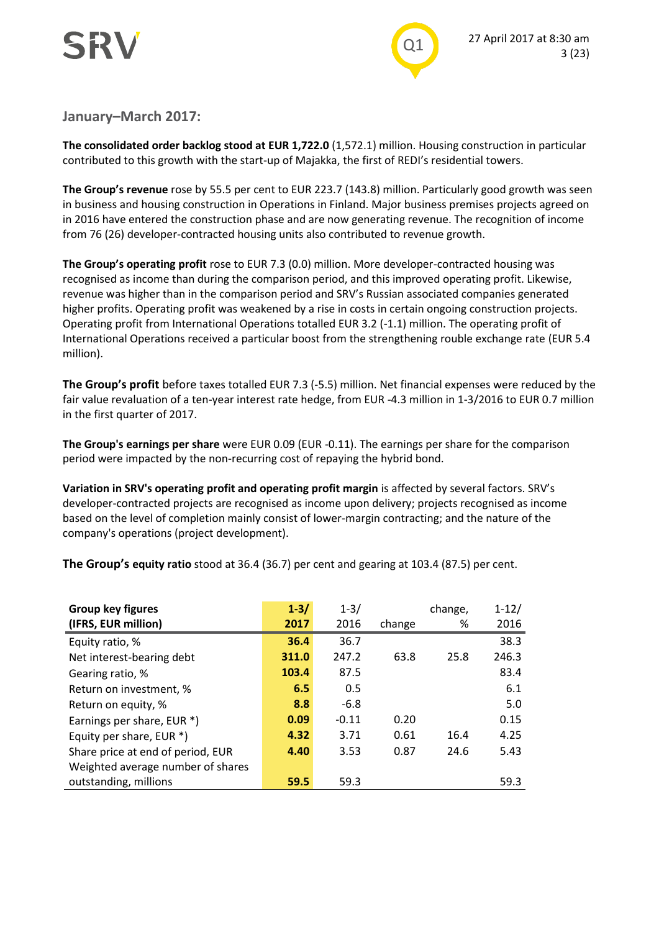



#### **January–March 2017:**

**The consolidated order backlog stood at EUR 1,722.0** (1,572.1) million. Housing construction in particular contributed to this growth with the start-up of Majakka, the first of REDI's residential towers.

**The Group's revenue** rose by 55.5 per cent to EUR 223.7 (143.8) million. Particularly good growth was seen in business and housing construction in Operations in Finland. Major business premises projects agreed on in 2016 have entered the construction phase and are now generating revenue. The recognition of income from 76 (26) developer-contracted housing units also contributed to revenue growth.

**The Group's operating profit** rose to EUR 7.3 (0.0) million. More developer-contracted housing was recognised as income than during the comparison period, and this improved operating profit. Likewise, revenue was higher than in the comparison period and SRV's Russian associated companies generated higher profits. Operating profit was weakened by a rise in costs in certain ongoing construction projects. Operating profit from International Operations totalled EUR 3.2 (-1.1) million. The operating profit of International Operations received a particular boost from the strengthening rouble exchange rate (EUR 5.4 million).

**The Group's profit** before taxes totalled EUR 7.3 (-5.5) million. Net financial expenses were reduced by the fair value revaluation of a ten-year interest rate hedge, from EUR -4.3 million in 1-3/2016 to EUR 0.7 million in the first quarter of 2017.

**The Group's earnings per share** were EUR 0.09 (EUR -0.11). The earnings per share for the comparison period were impacted by the non-recurring cost of repaying the hybrid bond.

**Variation in SRV's operating profit and operating profit margin** is affected by several factors. SRV's developer-contracted projects are recognised as income upon delivery; projects recognised as income based on the level of completion mainly consist of lower-margin contracting; and the nature of the company's operations (project development).

**The Group's equity ratio** stood at 36.4 (36.7) per cent and gearing at 103.4 (87.5) per cent.

| Group key figures                 | $1 - 3/$ | $1 - 3/$ |        | change, | $1 - 12/$ |
|-----------------------------------|----------|----------|--------|---------|-----------|
| (IFRS, EUR million)               | 2017     | 2016     | change | %       | 2016      |
| Equity ratio, %                   | 36.4     | 36.7     |        |         | 38.3      |
| Net interest-bearing debt         | 311.0    | 247.2    | 63.8   | 25.8    | 246.3     |
| Gearing ratio, %                  | 103.4    | 87.5     |        |         | 83.4      |
| Return on investment, %           | 6.5      | 0.5      |        |         | 6.1       |
| Return on equity, %               | 8.8      | $-6.8$   |        |         | 5.0       |
| Earnings per share, EUR *)        | 0.09     | $-0.11$  | 0.20   |         | 0.15      |
| Equity per share, EUR *)          | 4.32     | 3.71     | 0.61   | 16.4    | 4.25      |
| Share price at end of period, EUR | 4.40     | 3.53     | 0.87   | 24.6    | 5.43      |
| Weighted average number of shares |          |          |        |         |           |
| outstanding, millions             | 59.5     | 59.3     |        |         | 59.3      |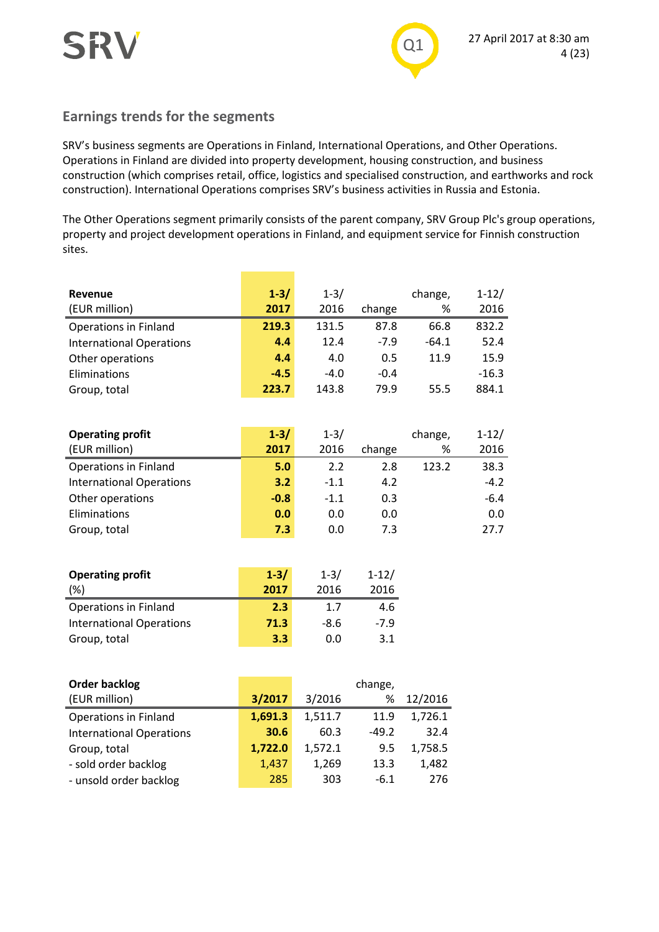

### **Earnings trends for the segments**

SRV's business segments are Operations in Finland, International Operations, and Other Operations. Operations in Finland are divided into property development, housing construction, and business construction (which comprises retail, office, logistics and specialised construction, and earthworks and rock construction). International Operations comprises SRV's business activities in Russia and Estonia.

The Other Operations segment primarily consists of the parent company, SRV Group Plc's group operations, property and project development operations in Finland, and equipment service for Finnish construction sites.

| Revenue                         | $1 - 3/$ | $1 - 3/$ |        | change, | $1 - 12/$ |
|---------------------------------|----------|----------|--------|---------|-----------|
| (EUR million)                   | 2017     | 2016     | change | %       | 2016      |
| Operations in Finland           | 219.3    | 131.5    | 87.8   | 66.8    | 832.2     |
| <b>International Operations</b> | 4.4      | 12.4     | $-7.9$ | $-64.1$ | 52.4      |
| Other operations                | 4.4      | 4.0      | 0.5    | 11.9    | 15.9      |
| Eliminations                    | $-4.5$   | $-4.0$   | $-0.4$ |         | $-16.3$   |
| Group, total                    | 223.7    | 143.8    | 79.9   | 55.5    | 884.1     |
|                                 |          |          |        |         |           |
| <b>Operating profit</b>         | $1 - 3/$ | $1 - 3/$ |        | change, | $1 - 12/$ |
| (EUR million)                   | 2017     | 2016     | change | %       | 2016      |
| <b>Operations in Finland</b>    | 5.0      | 2.2      | 2.8    | 123.2   | 38.3      |
| <b>International Operations</b> | 3.2      | $-1.1$   | 4.2    |         | $-4.2$    |
|                                 |          |          |        |         |           |

| Other operations    | $-0.8$ | $-1.1$ | 0.3 | $-6.4$ |
|---------------------|--------|--------|-----|--------|
| <b>Eliminations</b> | 0.0    | 0.0    |     | 0.0    |
| Group, total        | 7.3    | 0.0    |     | 27.7   |

| <b>Operating profit</b>         | $1 - 3/$ | $1 - 3/$ | $1 - 12/$ |
|---------------------------------|----------|----------|-----------|
| (%)                             | 2017     | 2016     | 2016      |
| <b>Operations in Finland</b>    | 2.3      | 1.7      | 4.6       |
| <b>International Operations</b> | 71.3     | -8.6     | $-7.9$    |
| Group, total                    | 3.3      | 0.0      | 3.1       |

| <b>Order backlog</b>            |         |         | change, |         |
|---------------------------------|---------|---------|---------|---------|
| (EUR million)                   | 3/2017  | 3/2016  | %       | 12/2016 |
| <b>Operations in Finland</b>    | 1,691.3 | 1,511.7 | 11.9    | 1,726.1 |
| <b>International Operations</b> | 30.6    | 60.3    | $-49.2$ | 32.4    |
| Group, total                    | 1,722.0 | 1,572.1 | 9.5     | 1,758.5 |
| - sold order backlog            | 1,437   | 1,269   | 13.3    | 1,482   |
| - unsold order backlog          | 285     | 303     | $-6.1$  | 276     |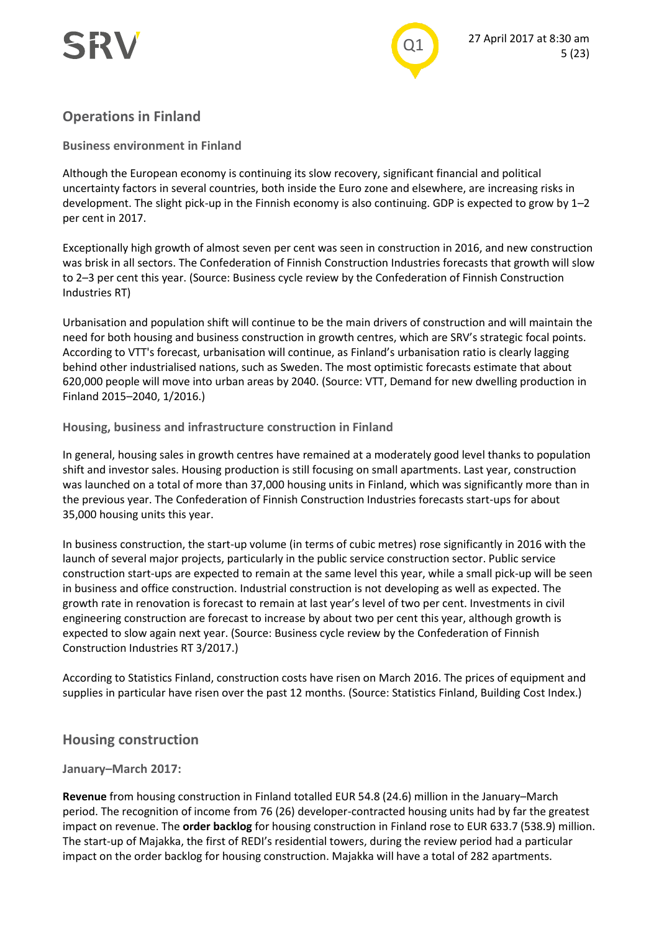

## **Operations in Finland**

#### **Business environment in Finland**

Although the European economy is continuing its slow recovery, significant financial and political uncertainty factors in several countries, both inside the Euro zone and elsewhere, are increasing risks in development. The slight pick-up in the Finnish economy is also continuing. GDP is expected to grow by 1–2 per cent in 2017.

Exceptionally high growth of almost seven per cent was seen in construction in 2016, and new construction was brisk in all sectors. The Confederation of Finnish Construction Industries forecasts that growth will slow to 2–3 per cent this year. (Source: Business cycle review by the Confederation of Finnish Construction Industries RT)

Urbanisation and population shift will continue to be the main drivers of construction and will maintain the need for both housing and business construction in growth centres, which are SRV's strategic focal points. According to VTT's forecast, urbanisation will continue, as Finland's urbanisation ratio is clearly lagging behind other industrialised nations, such as Sweden. The most optimistic forecasts estimate that about 620,000 people will move into urban areas by 2040. (Source: VTT, Demand for new dwelling production in Finland 2015–2040, 1/2016.)

#### **Housing, business and infrastructure construction in Finland**

In general, housing sales in growth centres have remained at a moderately good level thanks to population shift and investor sales. Housing production is still focusing on small apartments. Last year, construction was launched on a total of more than 37,000 housing units in Finland, which was significantly more than in the previous year. The Confederation of Finnish Construction Industries forecasts start-ups for about 35,000 housing units this year.

In business construction, the start-up volume (in terms of cubic metres) rose significantly in 2016 with the launch of several major projects, particularly in the public service construction sector. Public service construction start-ups are expected to remain at the same level this year, while a small pick-up will be seen in business and office construction. Industrial construction is not developing as well as expected. The growth rate in renovation is forecast to remain at last year's level of two per cent. Investments in civil engineering construction are forecast to increase by about two per cent this year, although growth is expected to slow again next year. (Source: Business cycle review by the Confederation of Finnish Construction Industries RT 3/2017.)

According to Statistics Finland, construction costs have risen on March 2016. The prices of equipment and supplies in particular have risen over the past 12 months. (Source: Statistics Finland, Building Cost Index.)

#### **Housing construction**

#### **January–March 2017:**

**Revenue** from housing construction in Finland totalled EUR 54.8 (24.6) million in the January–March period. The recognition of income from 76 (26) developer-contracted housing units had by far the greatest impact on revenue. The **order backlog** for housing construction in Finland rose to EUR 633.7 (538.9) million. The start-up of Majakka, the first of REDI's residential towers, during the review period had a particular impact on the order backlog for housing construction. Majakka will have a total of 282 apartments.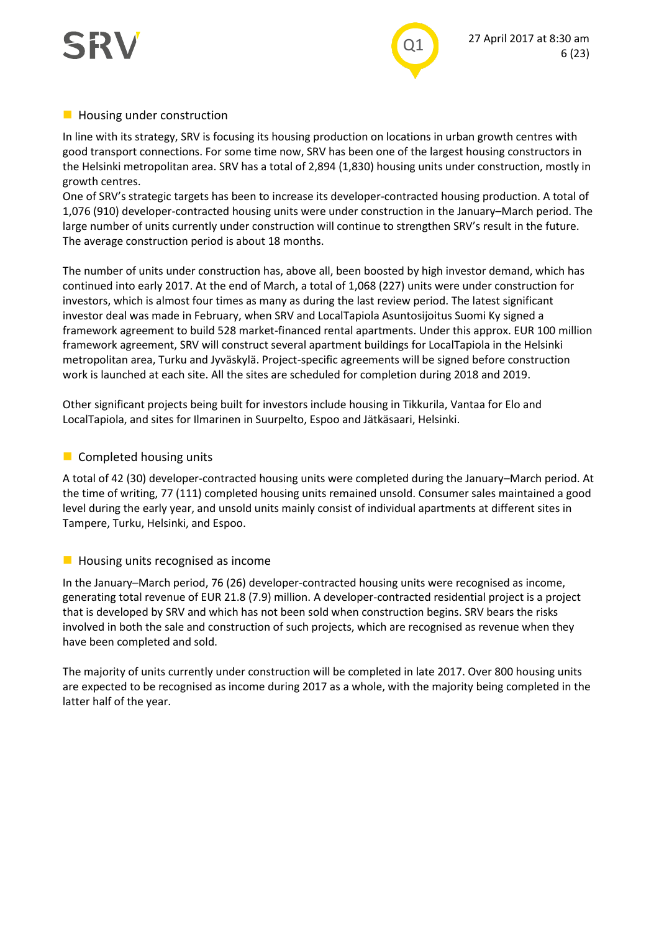



#### **Housing under construction**

In line with its strategy, SRV is focusing its housing production on locations in urban growth centres with good transport connections. For some time now, SRV has been one of the largest housing constructors in the Helsinki metropolitan area. SRV has a total of 2,894 (1,830) housing units under construction, mostly in growth centres.

One of SRV's strategic targets has been to increase its developer-contracted housing production. A total of 1,076 (910) developer-contracted housing units were under construction in the January–March period. The large number of units currently under construction will continue to strengthen SRV's result in the future. The average construction period is about 18 months.

The number of units under construction has, above all, been boosted by high investor demand, which has continued into early 2017. At the end of March, a total of 1,068 (227) units were under construction for investors, which is almost four times as many as during the last review period. The latest significant investor deal was made in February, when SRV and LocalTapiola Asuntosijoitus Suomi Ky signed a framework agreement to build 528 market-financed rental apartments. Under this approx. EUR 100 million framework agreement, SRV will construct several apartment buildings for LocalTapiola in the Helsinki metropolitan area, Turku and Jyväskylä. Project-specific agreements will be signed before construction work is launched at each site. All the sites are scheduled for completion during 2018 and 2019.

Other significant projects being built for investors include housing in Tikkurila, Vantaa for Elo and LocalTapiola, and sites for Ilmarinen in Suurpelto, Espoo and Jätkäsaari, Helsinki.

#### **Completed housing units**

A total of 42 (30) developer-contracted housing units were completed during the January–March period. At the time of writing, 77 (111) completed housing units remained unsold. Consumer sales maintained a good level during the early year, and unsold units mainly consist of individual apartments at different sites in Tampere, Turku, Helsinki, and Espoo.

#### $\blacksquare$  Housing units recognised as income

In the January–March period, 76 (26) developer-contracted housing units were recognised as income, generating total revenue of EUR 21.8 (7.9) million. A developer-contracted residential project is a project that is developed by SRV and which has not been sold when construction begins. SRV bears the risks involved in both the sale and construction of such projects, which are recognised as revenue when they have been completed and sold.

The majority of units currently under construction will be completed in late 2017. Over 800 housing units are expected to be recognised as income during 2017 as a whole, with the majority being completed in the latter half of the year.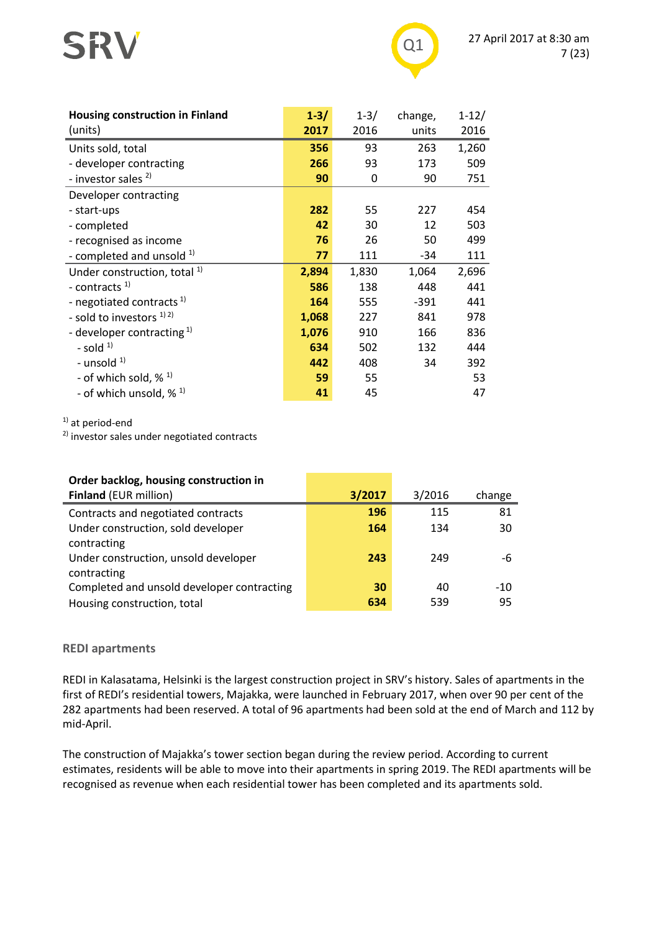# SRV



| <b>Housing construction in Finland</b><br>(units) | $1 - 3/$<br>2017 | $1 - 3/$<br>2016 | change,<br>units | $1 - 12/$<br>2016 |
|---------------------------------------------------|------------------|------------------|------------------|-------------------|
| Units sold, total                                 | 356              | 93               | 263              | 1,260             |
| - developer contracting                           | 266              | 93               | 173              | 509               |
| - investor sales <sup>2)</sup>                    | 90               | 0                | 90               | 751               |
| Developer contracting                             |                  |                  |                  |                   |
| - start-ups                                       | 282              | 55               | 227              | 454               |
| - completed                                       | 42               | 30               | 12               | 503               |
| - recognised as income                            | 76               | 26               | 50               | 499               |
| - completed and unsold <sup>1)</sup>              | 77               | 111              | -34              | 111               |
| Under construction, total <sup>1)</sup>           | 2,894            | 1,830            | 1,064            | 2,696             |
| - contracts $1$                                   | 586              | 138              | 448              | 441               |
| - negotiated contracts <sup>1)</sup>              | 164              | 555              | $-391$           | 441               |
| - sold to investors $^{1/2}$                      | 1,068            | 227              | 841              | 978               |
| - developer contracting $1$                       | 1,076            | 910              | 166              | 836               |
| - sold $1$                                        | 634              | 502              | 132              | 444               |
| - unsold $1$ )                                    | 442              | 408              | 34               | 392               |
| - of which sold, $\%$ <sup>1)</sup>               | 59               | 55               |                  | 53                |
| - of which unsold, $\frac{1}{2}$ 1)               | 41               | 45               |                  | 47                |

<sup>1)</sup> at period-end

2) investor sales under negotiated contracts

| Order backlog, housing construction in     |        |        |        |
|--------------------------------------------|--------|--------|--------|
| <b>Finland (EUR million)</b>               | 3/2017 | 3/2016 | change |
| Contracts and negotiated contracts         | 196    | 115    | 81     |
| Under construction, sold developer         | 164    | 134    | 30     |
| contracting                                |        |        |        |
| Under construction, unsold developer       | 243    | 249    | -6     |
| contracting                                |        |        |        |
| Completed and unsold developer contracting | 30     | 40     | $-10$  |
| Housing construction, total                | 634    | 539    | 95     |

#### **REDI apartments**

REDI in Kalasatama, Helsinki is the largest construction project in SRV's history. Sales of apartments in the first of REDI's residential towers, Majakka, were launched in February 2017, when over 90 per cent of the 282 apartments had been reserved. A total of 96 apartments had been sold at the end of March and 112 by mid-April.

The construction of Majakka's tower section began during the review period. According to current estimates, residents will be able to move into their apartments in spring 2019. The REDI apartments will be recognised as revenue when each residential tower has been completed and its apartments sold.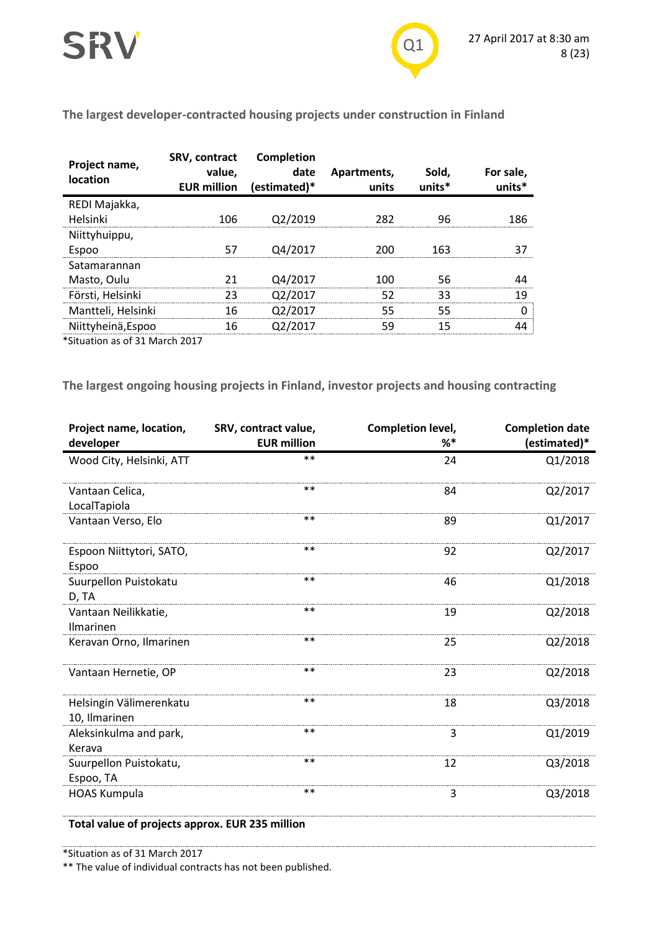**The largest developer-contracted housing projects under construction in Finland**

| Project name,<br>location | SRV, contract<br>value,<br><b>EUR million</b> | Completion<br>date<br>(estimated)* | Apartments,<br>units | Sold,<br>units* | For sale,<br>units* |
|---------------------------|-----------------------------------------------|------------------------------------|----------------------|-----------------|---------------------|
| REDI Majakka,             |                                               |                                    |                      |                 |                     |
| Helsinki                  | 106                                           | O2/2019                            | 282                  | 96              | 186                 |
| Niittyhuippu,             |                                               |                                    |                      |                 |                     |
| Espoo                     |                                               | 04/2017                            |                      | 163             |                     |
| Satamarannan              |                                               |                                    |                      |                 |                     |
| Masto, Oulu               |                                               | Q4/2017                            | 100                  | 56              |                     |
| Försti, Helsinki          | 23                                            | Q2/2017                            | 52                   | 33              | 19                  |
| Mantteli, Helsinki        | 16                                            | Q2/2017                            | 55                   | 55              |                     |
| Niittyheinä, Espoo        | 16                                            | O <sub>2</sub> /2017               | 59                   | 15              |                     |
|                           |                                               |                                    |                      |                 |                     |

\*Situation as of 31 March 2017

**The largest ongoing housing projects in Finland, investor projects and housing contracting**

| Project name, location,<br>developer     | SRV, contract value,<br><b>EUR million</b> | Completion level,<br>%* | <b>Completion date</b><br>(estimated)* |
|------------------------------------------|--------------------------------------------|-------------------------|----------------------------------------|
| Wood City, Helsinki, ATT                 | $**$                                       | 24                      | Q1/2018                                |
| Vantaan Celica,<br>LocalTapiola          | **                                         | 84                      | Q2/2017                                |
| Vantaan Verso, Elo                       | **                                         | 89                      | Q1/2017                                |
| Espoon Niittytori, SATO,<br>Espoo        | $**$                                       | 92                      | Q2/2017                                |
| Suurpellon Puistokatu<br>D, TA           | $***$                                      | 46                      | Q1/2018                                |
| Vantaan Neilikkatie,<br>Ilmarinen        | **                                         | 19                      | Q2/2018                                |
| Keravan Orno, Ilmarinen                  | $* *$                                      | 25                      | Q2/2018                                |
| Vantaan Hernetie, OP                     | $* *$                                      | 23                      | Q2/2018                                |
| Helsingin Välimerenkatu<br>10, Ilmarinen | $***$                                      | 18                      | Q3/2018                                |
| Aleksinkulma and park,<br>Kerava         | $***$                                      | 3                       | Q1/2019                                |
| Suurpellon Puistokatu,<br>Espoo, TA      | $***$                                      | 12                      | Q3/2018                                |
| <b>HOAS Kumpula</b>                      | **                                         | 3                       | Q3/2018                                |

**Total value of projects approx. EUR 235 million**

\*Situation as of 31 March 2017

\*\* The value of individual contracts has not been published.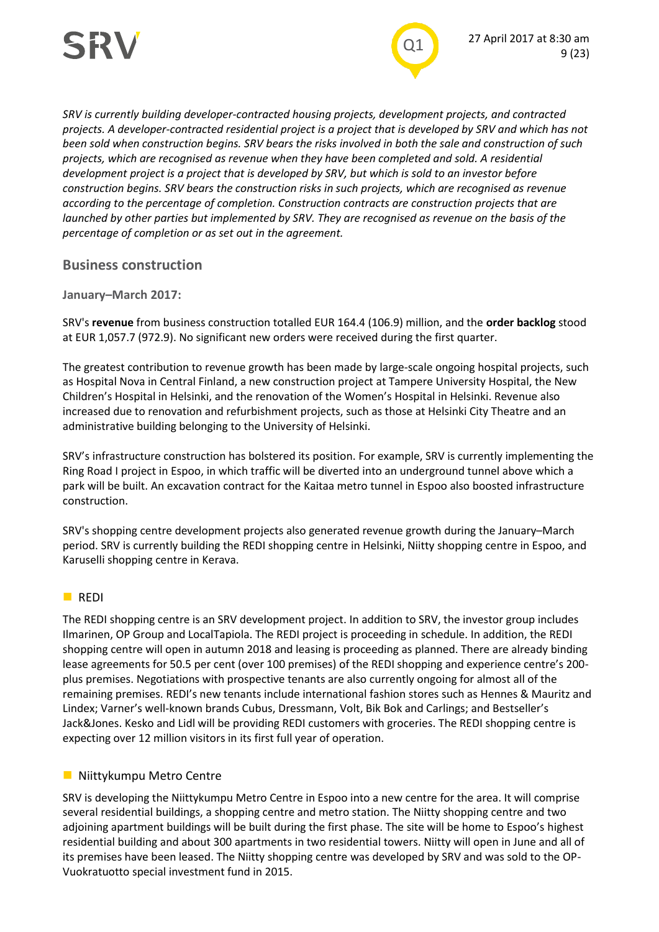

*SRV is currently building developer-contracted housing projects, development projects, and contracted projects. A developer-contracted residential project is a project that is developed by SRV and which has not been sold when construction begins. SRV bears the risks involved in both the sale and construction of such projects, which are recognised as revenue when they have been completed and sold. A residential development project is a project that is developed by SRV, but which is sold to an investor before construction begins. SRV bears the construction risks in such projects, which are recognised as revenue according to the percentage of completion. Construction contracts are construction projects that are launched by other parties but implemented by SRV. They are recognised as revenue on the basis of the percentage of completion or as set out in the agreement.*

#### **Business construction**

#### **January–March 2017:**

SRV's **revenue** from business construction totalled EUR 164.4 (106.9) million, and the **order backlog** stood at EUR 1,057.7 (972.9). No significant new orders were received during the first quarter.

The greatest contribution to revenue growth has been made by large-scale ongoing hospital projects, such as Hospital Nova in Central Finland, a new construction project at Tampere University Hospital, the New Children's Hospital in Helsinki, and the renovation of the Women's Hospital in Helsinki. Revenue also increased due to renovation and refurbishment projects, such as those at Helsinki City Theatre and an administrative building belonging to the University of Helsinki.

SRV's infrastructure construction has bolstered its position. For example, SRV is currently implementing the Ring Road I project in Espoo, in which traffic will be diverted into an underground tunnel above which a park will be built. An excavation contract for the Kaitaa metro tunnel in Espoo also boosted infrastructure construction.

SRV's shopping centre development projects also generated revenue growth during the January–March period. SRV is currently building the REDI shopping centre in Helsinki, Niitty shopping centre in Espoo, and Karuselli shopping centre in Kerava.

#### **REDI**

The REDI shopping centre is an SRV development project. In addition to SRV, the investor group includes Ilmarinen, OP Group and LocalTapiola. The REDI project is proceeding in schedule. In addition, the REDI shopping centre will open in autumn 2018 and leasing is proceeding as planned. There are already binding lease agreements for 50.5 per cent (over 100 premises) of the REDI shopping and experience centre's 200 plus premises. Negotiations with prospective tenants are also currently ongoing for almost all of the remaining premises. REDI's new tenants include international fashion stores such as Hennes & Mauritz and Lindex; Varner's well-known brands Cubus, Dressmann, Volt, Bik Bok and Carlings; and Bestseller's Jack&Jones. Kesko and Lidl will be providing REDI customers with groceries. The REDI shopping centre is expecting over 12 million visitors in its first full year of operation.

#### **Niittykumpu Metro Centre**

SRV is developing the Niittykumpu Metro Centre in Espoo into a new centre for the area. It will comprise several residential buildings, a shopping centre and metro station. The Niitty shopping centre and two adjoining apartment buildings will be built during the first phase. The site will be home to Espoo's highest residential building and about 300 apartments in two residential towers. Niitty will open in June and all of its premises have been leased. The Niitty shopping centre was developed by SRV and was sold to the OP-Vuokratuotto special investment fund in 2015.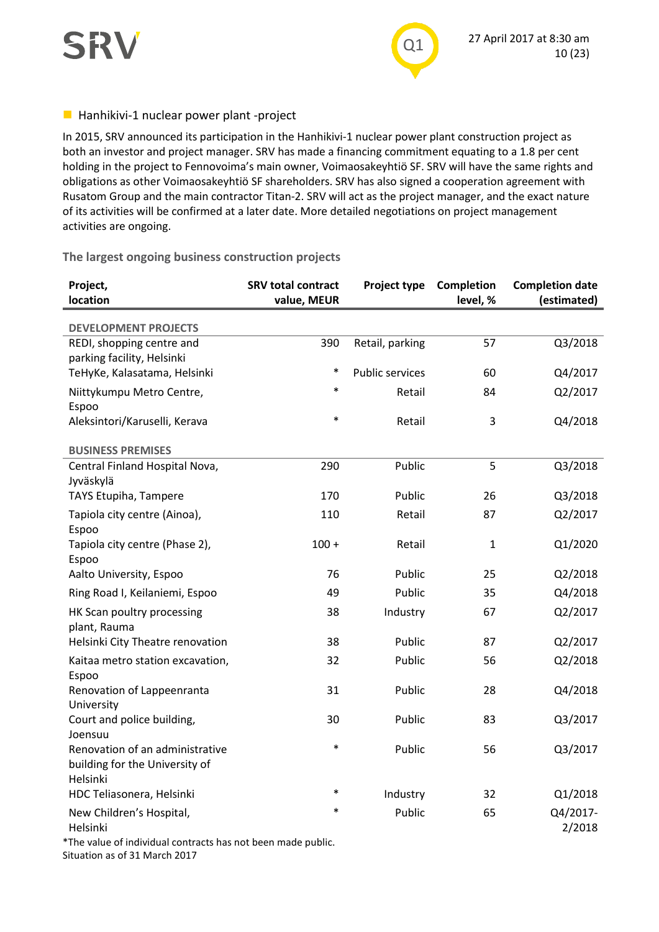



#### $\blacksquare$  Hanhikivi-1 nuclear power plant -project

In 2015, SRV announced its participation in the Hanhikivi-1 nuclear power plant construction project as both an investor and project manager. SRV has made a financing commitment equating to a 1.8 per cent holding in the project to Fennovoima's main owner, Voimaosakeyhtiö SF. SRV will have the same rights and obligations as other Voimaosakeyhtiö SF shareholders. SRV has also signed a cooperation agreement with Rusatom Group and the main contractor Titan-2. SRV will act as the project manager, and the exact nature of its activities will be confirmed at a later date. More detailed negotiations on project management activities are ongoing.

#### **The largest ongoing business construction projects**

| Project,<br>location                                                          | <b>SRV total contract</b><br>value, MEUR | Project type           | Completion<br>level, % | <b>Completion date</b><br>(estimated) |
|-------------------------------------------------------------------------------|------------------------------------------|------------------------|------------------------|---------------------------------------|
| <b>DEVELOPMENT PROJECTS</b>                                                   |                                          |                        |                        |                                       |
| REDI, shopping centre and<br>parking facility, Helsinki                       | 390                                      | Retail, parking        | 57                     | Q3/2018                               |
| TeHyKe, Kalasatama, Helsinki                                                  | $\ast$                                   | <b>Public services</b> | 60                     | Q4/2017                               |
| Niittykumpu Metro Centre,<br>Espoo                                            | $\ast$                                   | Retail                 | 84                     | Q2/2017                               |
| Aleksintori/Karuselli, Kerava                                                 | $\ast$                                   | Retail                 | 3                      | Q4/2018                               |
| <b>BUSINESS PREMISES</b>                                                      |                                          |                        |                        |                                       |
| Central Finland Hospital Nova,<br>Jyväskylä                                   | 290                                      | Public                 | 5                      | Q3/2018                               |
| TAYS Etupiha, Tampere                                                         | 170                                      | Public                 | 26                     | Q3/2018                               |
| Tapiola city centre (Ainoa),<br>Espoo                                         | 110                                      | Retail                 | 87                     | Q2/2017                               |
| Tapiola city centre (Phase 2),<br>Espoo                                       | $100 +$                                  | Retail                 | $\mathbf{1}$           | Q1/2020                               |
| Aalto University, Espoo                                                       | 76                                       | Public                 | 25                     | Q2/2018                               |
| Ring Road I, Keilaniemi, Espoo                                                | 49                                       | Public                 | 35                     | Q4/2018                               |
| HK Scan poultry processing<br>plant, Rauma                                    | 38                                       | Industry               | 67                     | Q2/2017                               |
| Helsinki City Theatre renovation                                              | 38                                       | Public                 | 87                     | Q2/2017                               |
| Kaitaa metro station excavation,<br>Espoo                                     | 32                                       | Public                 | 56                     | Q2/2018                               |
| Renovation of Lappeenranta<br>University                                      | 31                                       | Public                 | 28                     | Q4/2018                               |
| Court and police building,<br>Joensuu                                         | 30                                       | Public                 | 83                     | Q3/2017                               |
| Renovation of an administrative<br>building for the University of<br>Helsinki | $\ast$                                   | Public                 | 56                     | Q3/2017                               |
| HDC Teliasonera, Helsinki                                                     | $\ast$                                   | Industry               | 32                     | Q1/2018                               |
| New Children's Hospital,<br>Helsinki                                          | *                                        | Public                 | 65                     | Q4/2017-<br>2/2018                    |

\*The value of individual contracts has not been made public.

Situation as of 31 March 2017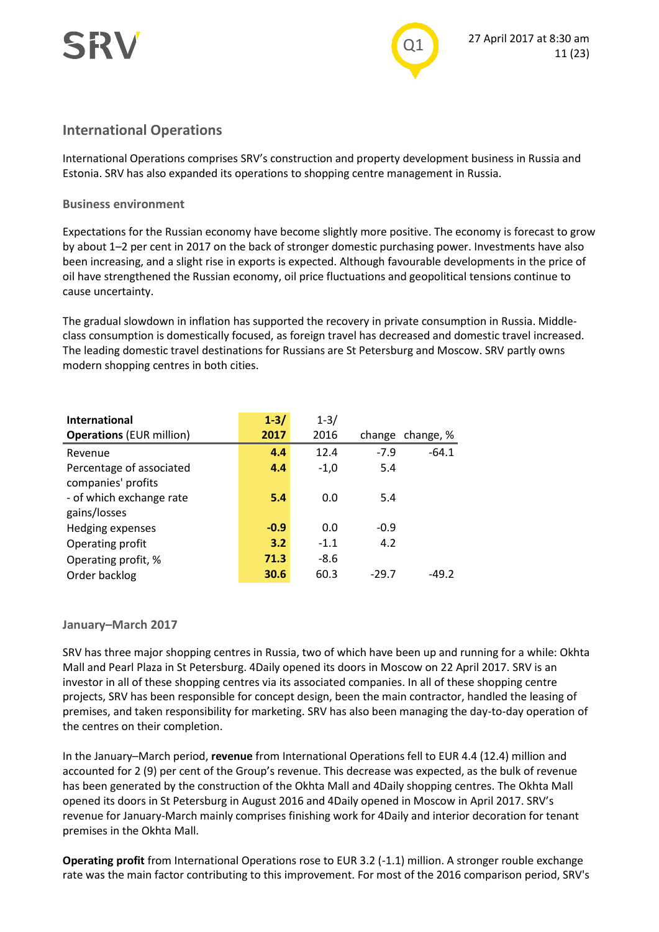



#### **International Operations**

International Operations comprises SRV's construction and property development business in Russia and Estonia. SRV has also expanded its operations to shopping centre management in Russia.

#### **Business environment**

Expectations for the Russian economy have become slightly more positive. The economy is forecast to grow by about 1–2 per cent in 2017 on the back of stronger domestic purchasing power. Investments have also been increasing, and a slight rise in exports is expected. Although favourable developments in the price of oil have strengthened the Russian economy, oil price fluctuations and geopolitical tensions continue to cause uncertainty.

The gradual slowdown in inflation has supported the recovery in private consumption in Russia. Middleclass consumption is domestically focused, as foreign travel has decreased and domestic travel increased. The leading domestic travel destinations for Russians are St Petersburg and Moscow. SRV partly owns modern shopping centres in both cities.

| International                   | $1 - 3/$ | $1 - 3/$ |        |           |
|---------------------------------|----------|----------|--------|-----------|
| <b>Operations (EUR million)</b> | 2017     | 2016     | change | change, % |
| Revenue                         | 4.4      | 12.4     | $-7.9$ | $-64.1$   |
| Percentage of associated        | 4.4      | $-1,0$   | 5.4    |           |
| companies' profits              |          |          |        |           |
| - of which exchange rate        | 5.4      | 0.0      | 5.4    |           |
| gains/losses                    |          |          |        |           |
| Hedging expenses                | $-0.9$   | 0.0      | $-0.9$ |           |
| Operating profit                | 3.2      | $-1.1$   | 4.2    |           |
| Operating profit, %             | 71.3     | $-8.6$   |        |           |
| Order backlog                   | 30.6     | 60.3     | -29.7  | $-49.2$   |

#### **January–March 2017**

SRV has three major shopping centres in Russia, two of which have been up and running for a while: Okhta Mall and Pearl Plaza in St Petersburg. 4Daily opened its doors in Moscow on 22 April 2017. SRV is an investor in all of these shopping centres via its associated companies. In all of these shopping centre projects, SRV has been responsible for concept design, been the main contractor, handled the leasing of premises, and taken responsibility for marketing. SRV has also been managing the day-to-day operation of the centres on their completion.

In the January–March period, **revenue** from International Operations fell to EUR 4.4 (12.4) million and accounted for 2 (9) per cent of the Group's revenue. This decrease was expected, as the bulk of revenue has been generated by the construction of the Okhta Mall and 4Daily shopping centres. The Okhta Mall opened its doors in St Petersburg in August 2016 and 4Daily opened in Moscow in April 2017. SRV's revenue for January-March mainly comprises finishing work for 4Daily and interior decoration for tenant premises in the Okhta Mall.

**Operating profit** from International Operations rose to EUR 3.2 (-1.1) million. A stronger rouble exchange rate was the main factor contributing to this improvement. For most of the 2016 comparison period, SRV's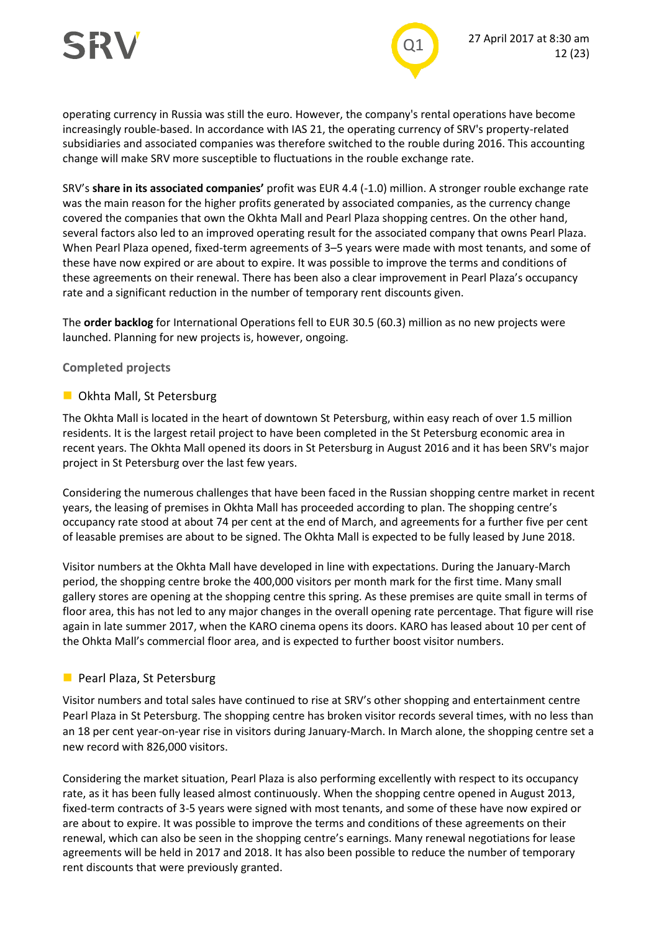

operating currency in Russia was still the euro. However, the company's rental operations have become increasingly rouble-based. In accordance with IAS 21, the operating currency of SRV's property-related subsidiaries and associated companies was therefore switched to the rouble during 2016. This accounting change will make SRV more susceptible to fluctuations in the rouble exchange rate.

SRV's **share in its associated companies'** profit was EUR 4.4 (-1.0) million. A stronger rouble exchange rate was the main reason for the higher profits generated by associated companies, as the currency change covered the companies that own the Okhta Mall and Pearl Plaza shopping centres. On the other hand, several factors also led to an improved operating result for the associated company that owns Pearl Plaza. When Pearl Plaza opened, fixed-term agreements of 3–5 years were made with most tenants, and some of these have now expired or are about to expire. It was possible to improve the terms and conditions of these agreements on their renewal. There has been also a clear improvement in Pearl Plaza's occupancy rate and a significant reduction in the number of temporary rent discounts given.

The **order backlog** for International Operations fell to EUR 30.5 (60.3) million as no new projects were launched. Planning for new projects is, however, ongoing.

#### **Completed projects**

#### **D** Okhta Mall, St Petersburg

The Okhta Mall is located in the heart of downtown St Petersburg, within easy reach of over 1.5 million residents. It is the largest retail project to have been completed in the St Petersburg economic area in recent years. The Okhta Mall opened its doors in St Petersburg in August 2016 and it has been SRV's major project in St Petersburg over the last few years.

Considering the numerous challenges that have been faced in the Russian shopping centre market in recent years, the leasing of premises in Okhta Mall has proceeded according to plan. The shopping centre's occupancy rate stood at about 74 per cent at the end of March, and agreements for a further five per cent of leasable premises are about to be signed. The Okhta Mall is expected to be fully leased by June 2018.

Visitor numbers at the Okhta Mall have developed in line with expectations. During the January-March period, the shopping centre broke the 400,000 visitors per month mark for the first time. Many small gallery stores are opening at the shopping centre this spring. As these premises are quite small in terms of floor area, this has not led to any major changes in the overall opening rate percentage. That figure will rise again in late summer 2017, when the KARO cinema opens its doors. KARO has leased about 10 per cent of the Ohkta Mall's commercial floor area, and is expected to further boost visitor numbers.

#### **Pearl Plaza, St Petersburg**

Visitor numbers and total sales have continued to rise at SRV's other shopping and entertainment centre Pearl Plaza in St Petersburg. The shopping centre has broken visitor records several times, with no less than an 18 per cent year-on-year rise in visitors during January-March. In March alone, the shopping centre set a new record with 826,000 visitors.

Considering the market situation, Pearl Plaza is also performing excellently with respect to its occupancy rate, as it has been fully leased almost continuously. When the shopping centre opened in August 2013, fixed-term contracts of 3-5 years were signed with most tenants, and some of these have now expired or are about to expire. It was possible to improve the terms and conditions of these agreements on their renewal, which can also be seen in the shopping centre's earnings. Many renewal negotiations for lease agreements will be held in 2017 and 2018. It has also been possible to reduce the number of temporary rent discounts that were previously granted.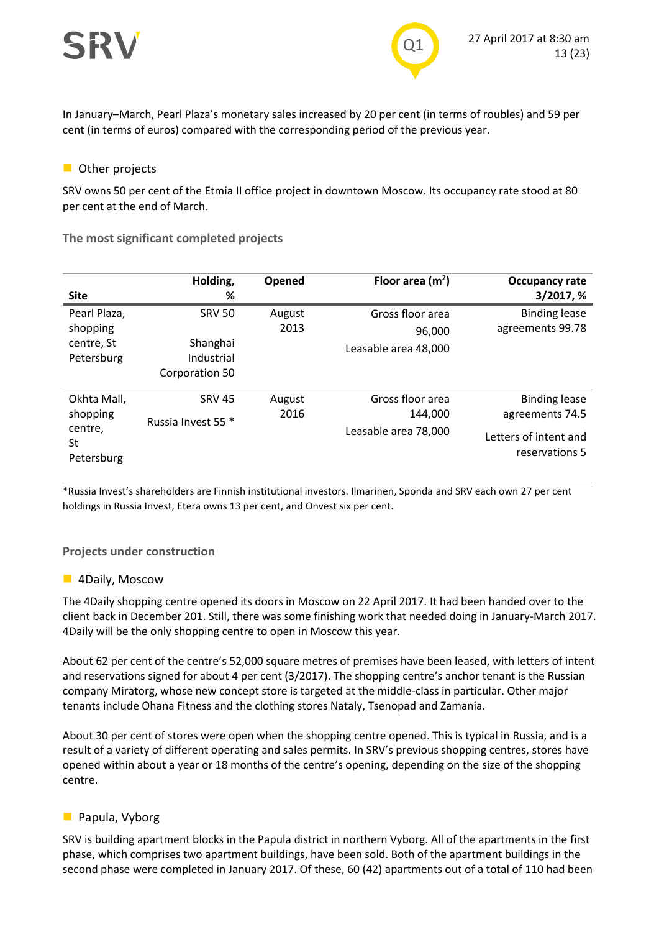



In January–March, Pearl Plaza's monetary sales increased by 20 per cent (in terms of roubles) and 59 per cent (in terms of euros) compared with the corresponding period of the previous year.

#### **Other projects**

SRV owns 50 per cent of the Etmia II office project in downtown Moscow. Its occupancy rate stood at 80 per cent at the end of March.

**The most significant completed projects**

| <b>Site</b>                                            | Holding,<br>%                                             | Opened         | Floor area $(m2)$                                   | Occupancy rate<br>3/2017, %                                                        |
|--------------------------------------------------------|-----------------------------------------------------------|----------------|-----------------------------------------------------|------------------------------------------------------------------------------------|
| Pearl Plaza,<br>shopping<br>centre, St<br>Petersburg   | <b>SRV 50</b><br>Shanghai<br>Industrial<br>Corporation 50 | August<br>2013 | Gross floor area<br>96,000<br>Leasable area 48,000  | <b>Binding lease</b><br>agreements 99.78                                           |
| Okhta Mall,<br>shopping<br>centre,<br>St<br>Petersburg | <b>SRV 45</b><br>Russia Invest 55 *                       | August<br>2016 | Gross floor area<br>144.000<br>Leasable area 78,000 | <b>Binding lease</b><br>agreements 74.5<br>Letters of intent and<br>reservations 5 |

\*Russia Invest's shareholders are Finnish institutional investors. Ilmarinen, Sponda and SRV each own 27 per cent holdings in Russia Invest, Etera owns 13 per cent, and Onvest six per cent.

#### **Projects under construction**

#### **4Daily, Moscow**

The 4Daily shopping centre opened its doors in Moscow on 22 April 2017. It had been handed over to the client back in December 201. Still, there was some finishing work that needed doing in January-March 2017. 4Daily will be the only shopping centre to open in Moscow this year.

About 62 per cent of the centre's 52,000 square metres of premises have been leased, with letters of intent and reservations signed for about 4 per cent (3/2017). The shopping centre's anchor tenant is the Russian company Miratorg, whose new concept store is targeted at the middle-class in particular. Other major tenants include Ohana Fitness and the clothing stores Nataly, Tsenopad and Zamania.

About 30 per cent of stores were open when the shopping centre opened. This is typical in Russia, and is a result of a variety of different operating and sales permits. In SRV's previous shopping centres, stores have opened within about a year or 18 months of the centre's opening, depending on the size of the shopping centre.

#### **Papula, Vyborg**

SRV is building apartment blocks in the Papula district in northern Vyborg. All of the apartments in the first phase, which comprises two apartment buildings, have been sold. Both of the apartment buildings in the second phase were completed in January 2017. Of these, 60 (42) apartments out of a total of 110 had been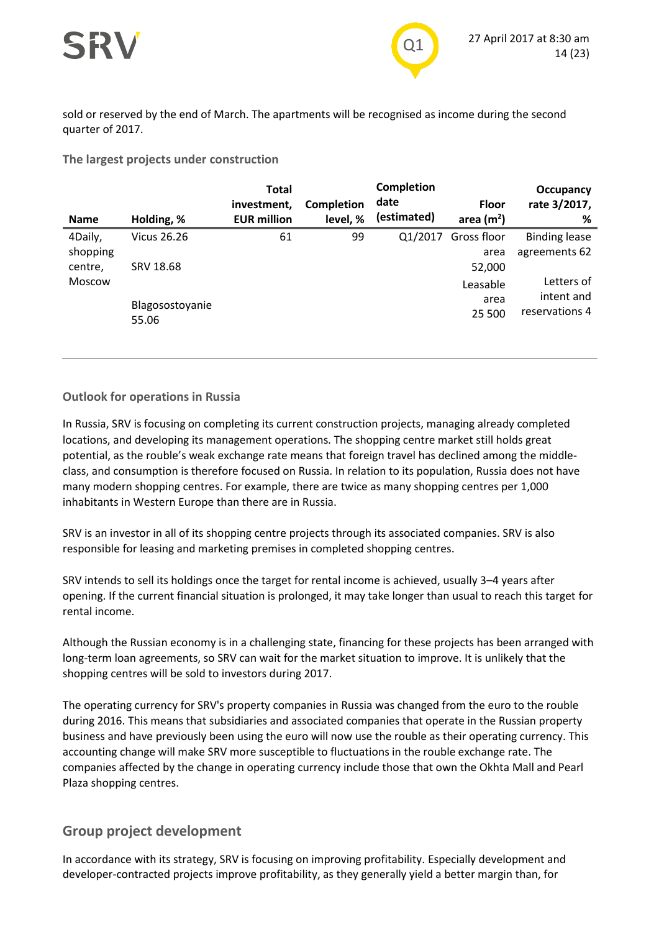

sold or reserved by the end of March. The apartments will be recognised as income during the second quarter of 2017.

#### **The largest projects under construction**

| <b>Name</b>                          | Holding, %               | <b>Total</b><br>investment,<br><b>EUR million</b> | <b>Completion</b><br>level, % | Completion<br>date<br>(estimated) | <b>Floor</b><br>area $(m2)$ | Occupancy<br>rate 3/2017,<br>% |
|--------------------------------------|--------------------------|---------------------------------------------------|-------------------------------|-----------------------------------|-----------------------------|--------------------------------|
| 4Daily,                              | Vicus 26.26              | 61                                                | 99                            | Q1/2017                           | Gross floor                 | <b>Binding lease</b>           |
| shopping<br>centre,<br><b>Moscow</b> | SRV 18.68                |                                                   |                               |                                   | area<br>52,000<br>Leasable  | agreements 62<br>Letters of    |
|                                      | Blagosostoyanie<br>55.06 |                                                   |                               |                                   | area<br>25 500              | intent and<br>reservations 4   |

#### **Outlook for operations in Russia**

In Russia, SRV is focusing on completing its current construction projects, managing already completed locations, and developing its management operations. The shopping centre market still holds great potential, as the rouble's weak exchange rate means that foreign travel has declined among the middleclass, and consumption is therefore focused on Russia. In relation to its population, Russia does not have many modern shopping centres. For example, there are twice as many shopping centres per 1,000 inhabitants in Western Europe than there are in Russia.

SRV is an investor in all of its shopping centre projects through its associated companies. SRV is also responsible for leasing and marketing premises in completed shopping centres.

SRV intends to sell its holdings once the target for rental income is achieved, usually 3–4 years after opening. If the current financial situation is prolonged, it may take longer than usual to reach this target for rental income.

Although the Russian economy is in a challenging state, financing for these projects has been arranged with long-term loan agreements, so SRV can wait for the market situation to improve. It is unlikely that the shopping centres will be sold to investors during 2017.

The operating currency for SRV's property companies in Russia was changed from the euro to the rouble during 2016. This means that subsidiaries and associated companies that operate in the Russian property business and have previously been using the euro will now use the rouble as their operating currency. This accounting change will make SRV more susceptible to fluctuations in the rouble exchange rate. The companies affected by the change in operating currency include those that own the Okhta Mall and Pearl Plaza shopping centres.

#### **Group project development**

In accordance with its strategy, SRV is focusing on improving profitability. Especially development and developer-contracted projects improve profitability, as they generally yield a better margin than, for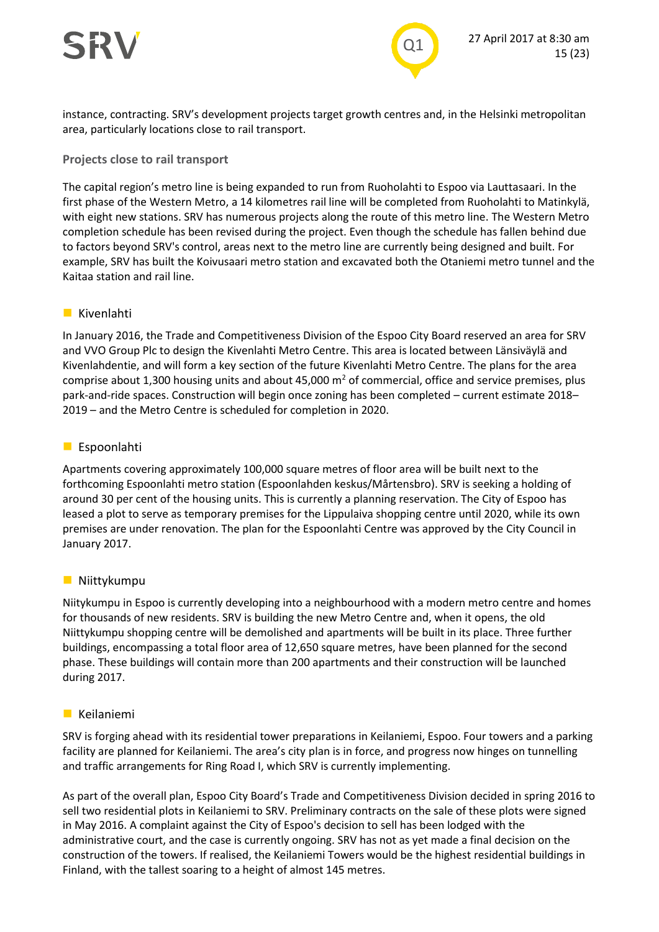

instance, contracting. SRV's development projects target growth centres and, in the Helsinki metropolitan area, particularly locations close to rail transport.

#### **Projects close to rail transport**

The capital region's metro line is being expanded to run from Ruoholahti to Espoo via Lauttasaari. In the first phase of the Western Metro, a 14 kilometres rail line will be completed from Ruoholahti to Matinkylä, with eight new stations. SRV has numerous projects along the route of this metro line. The Western Metro completion schedule has been revised during the project. Even though the schedule has fallen behind due to factors beyond SRV's control, areas next to the metro line are currently being designed and built. For example, SRV has built the Koivusaari metro station and excavated both the Otaniemi metro tunnel and the Kaitaa station and rail line.

#### **Kivenlahti**

In January 2016, the Trade and Competitiveness Division of the Espoo City Board reserved an area for SRV and VVO Group Plc to design the Kivenlahti Metro Centre. This area is located between Länsiväylä and Kivenlahdentie, and will form a key section of the future Kivenlahti Metro Centre. The plans for the area comprise about 1,300 housing units and about 45,000  $m<sup>2</sup>$  of commercial, office and service premises, plus park-and-ride spaces. Construction will begin once zoning has been completed – current estimate 2018– 2019 – and the Metro Centre is scheduled for completion in 2020.

#### **Espoonlahti**

Apartments covering approximately 100,000 square metres of floor area will be built next to the forthcoming Espoonlahti metro station (Espoonlahden keskus/Mårtensbro). SRV is seeking a holding of around 30 per cent of the housing units. This is currently a planning reservation. The City of Espoo has leased a plot to serve as temporary premises for the Lippulaiva shopping centre until 2020, while its own premises are under renovation. The plan for the Espoonlahti Centre was approved by the City Council in January 2017.

#### **Niittykumpu**

Niitykumpu in Espoo is currently developing into a neighbourhood with a modern metro centre and homes for thousands of new residents. SRV is building the new Metro Centre and, when it opens, the old Niittykumpu shopping centre will be demolished and apartments will be built in its place. Three further buildings, encompassing a total floor area of 12,650 square metres, have been planned for the second phase. These buildings will contain more than 200 apartments and their construction will be launched during 2017.

#### **Keilaniemi**

SRV is forging ahead with its residential tower preparations in Keilaniemi, Espoo. Four towers and a parking facility are planned for Keilaniemi. The area's city plan is in force, and progress now hinges on tunnelling and traffic arrangements for Ring Road I, which SRV is currently implementing.

As part of the overall plan, Espoo City Board's Trade and Competitiveness Division decided in spring 2016 to sell two residential plots in Keilaniemi to SRV. Preliminary contracts on the sale of these plots were signed in May 2016. A complaint against the City of Espoo's decision to sell has been lodged with the administrative court, and the case is currently ongoing. SRV has not as yet made a final decision on the construction of the towers. If realised, the Keilaniemi Towers would be the highest residential buildings in Finland, with the tallest soaring to a height of almost 145 metres.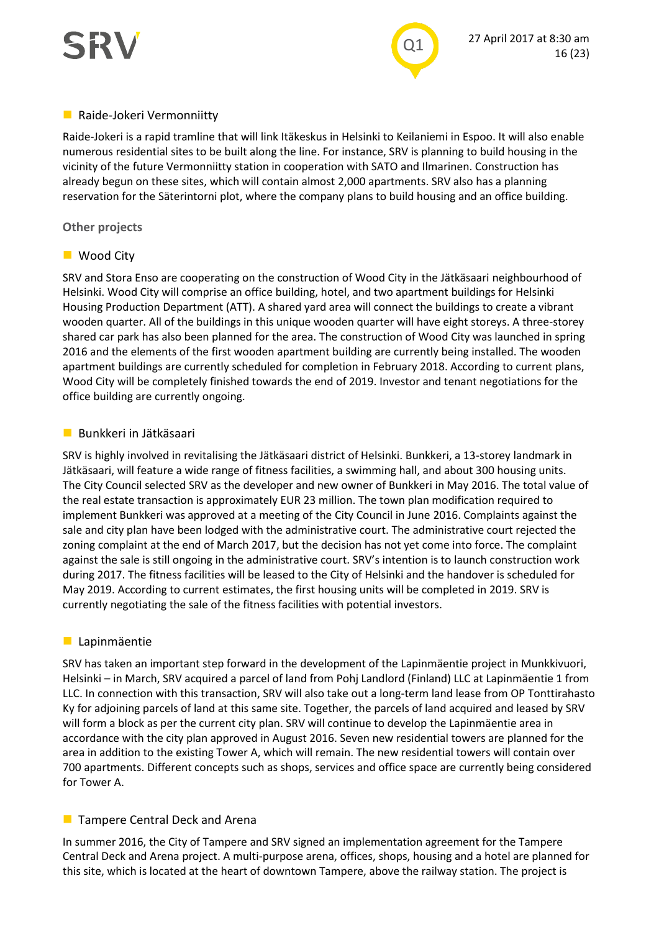

#### **Raide-Jokeri Vermonniitty**

Raide-Jokeri is a rapid tramline that will link Itäkeskus in Helsinki to Keilaniemi in Espoo. It will also enable numerous residential sites to be built along the line. For instance, SRV is planning to build housing in the vicinity of the future Vermonniitty station in cooperation with SATO and Ilmarinen. Construction has already begun on these sites, which will contain almost 2,000 apartments. SRV also has a planning reservation for the Säterintorni plot, where the company plans to build housing and an office building.

#### **Other projects**

#### ■ Wood City

SRV and Stora Enso are cooperating on the construction of Wood City in the Jätkäsaari neighbourhood of Helsinki. Wood City will comprise an office building, hotel, and two apartment buildings for Helsinki Housing Production Department (ATT). A shared yard area will connect the buildings to create a vibrant wooden quarter. All of the buildings in this unique wooden quarter will have eight storeys. A three-storey shared car park has also been planned for the area. The construction of Wood City was launched in spring 2016 and the elements of the first wooden apartment building are currently being installed. The wooden apartment buildings are currently scheduled for completion in February 2018. According to current plans, Wood City will be completely finished towards the end of 2019. Investor and tenant negotiations for the office building are currently ongoing.

#### **Bunkkeri in Jätkäsaari**

SRV is highly involved in revitalising the Jätkäsaari district of Helsinki. Bunkkeri, a 13-storey landmark in Jätkäsaari, will feature a wide range of fitness facilities, a swimming hall, and about 300 housing units. The City Council selected SRV as the developer and new owner of Bunkkeri in May 2016. The total value of the real estate transaction is approximately EUR 23 million. The town plan modification required to implement Bunkkeri was approved at a meeting of the City Council in June 2016. Complaints against the sale and city plan have been lodged with the administrative court. The administrative court rejected the zoning complaint at the end of March 2017, but the decision has not yet come into force. The complaint against the sale is still ongoing in the administrative court. SRV's intention is to launch construction work during 2017. The fitness facilities will be leased to the City of Helsinki and the handover is scheduled for May 2019. According to current estimates, the first housing units will be completed in 2019. SRV is currently negotiating the sale of the fitness facilities with potential investors.

#### **Lapinmäentie**

SRV has taken an important step forward in the development of the Lapinmäentie project in Munkkivuori, Helsinki – in March, SRV acquired a parcel of land from Pohj Landlord (Finland) LLC at Lapinmäentie 1 from LLC. In connection with this transaction, SRV will also take out a long-term land lease from OP Tonttirahasto Ky for adjoining parcels of land at this same site. Together, the parcels of land acquired and leased by SRV will form a block as per the current city plan. SRV will continue to develop the Lapinmäentie area in accordance with the city plan approved in August 2016. Seven new residential towers are planned for the area in addition to the existing Tower A, which will remain. The new residential towers will contain over 700 apartments. Different concepts such as shops, services and office space are currently being considered for Tower A.

#### **Tampere Central Deck and Arena**

In summer 2016, the City of Tampere and SRV signed an implementation agreement for the Tampere Central Deck and Arena project. A multi-purpose arena, offices, shops, housing and a hotel are planned for this site, which is located at the heart of downtown Tampere, above the railway station. The project is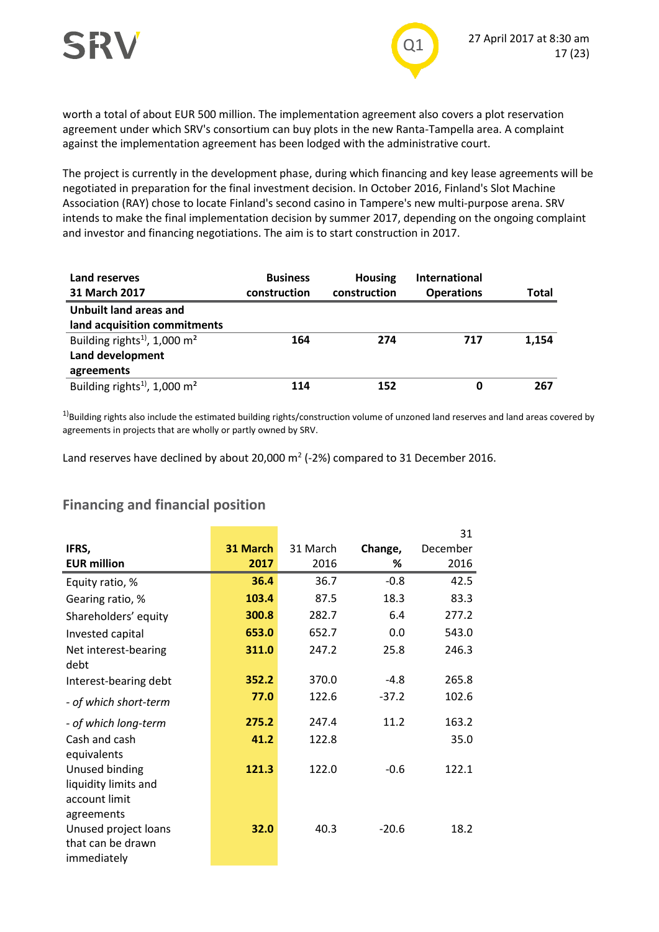

worth a total of about EUR 500 million. The implementation agreement also covers a plot reservation agreement under which SRV's consortium can buy plots in the new Ranta-Tampella area. A complaint against the implementation agreement has been lodged with the administrative court.

The project is currently in the development phase, during which financing and key lease agreements will be negotiated in preparation for the final investment decision. In October 2016, Finland's Slot Machine Association (RAY) chose to locate Finland's second casino in Tampere's new multi-purpose arena. SRV intends to make the final implementation decision by summer 2017, depending on the ongoing complaint and investor and financing negotiations. The aim is to start construction in 2017.

| Land reserves<br>31 March 2017                                                         | <b>Business</b><br>construction | <b>Housing</b><br>construction | <b>International</b><br><b>Operations</b> | Total |
|----------------------------------------------------------------------------------------|---------------------------------|--------------------------------|-------------------------------------------|-------|
| Unbuilt land areas and<br>land acquisition commitments                                 |                                 |                                |                                           |       |
| Building rights <sup>1)</sup> , 1,000 m <sup>2</sup><br>Land development<br>agreements | 164                             | 274                            | 717                                       | 1,154 |
| Building rights <sup>1)</sup> , 1,000 m <sup>2</sup>                                   | 114                             | 152                            | 0                                         | 267   |

 $1)$ Building rights also include the estimated building rights/construction volume of unzoned land reserves and land areas covered by agreements in projects that are wholly or partly owned by SRV.

Land reserves have declined by about 20,000  $m^2$  (-2%) compared to 31 December 2016.

#### **Financing and financial position**

|                       |          |          |         | 31       |
|-----------------------|----------|----------|---------|----------|
| IFRS,                 | 31 March | 31 March | Change, | December |
| <b>EUR million</b>    | 2017     | 2016     | ℅       | 2016     |
| Equity ratio, %       | 36.4     | 36.7     | $-0.8$  | 42.5     |
| Gearing ratio, %      | 103.4    | 87.5     | 18.3    | 83.3     |
| Shareholders' equity  | 300.8    | 282.7    | 6.4     | 277.2    |
| Invested capital      | 653.0    | 652.7    | 0.0     | 543.0    |
| Net interest-bearing  | 311.0    | 247.2    | 25.8    | 246.3    |
| debt                  |          |          |         |          |
| Interest-bearing debt | 352.2    | 370.0    | $-4.8$  | 265.8    |
| - of which short-term | 77.0     | 122.6    | $-37.2$ | 102.6    |
| - of which long-term  | 275.2    | 247.4    | 11.2    | 163.2    |
| Cash and cash         | 41.2     | 122.8    |         | 35.0     |
| equivalents           |          |          |         |          |
| Unused binding        | 121.3    | 122.0    | $-0.6$  | 122.1    |
| liquidity limits and  |          |          |         |          |
| account limit         |          |          |         |          |
| agreements            |          |          |         |          |
| Unused project loans  | 32.0     | 40.3     | $-20.6$ | 18.2     |
| that can be drawn     |          |          |         |          |
| immediately           |          |          |         |          |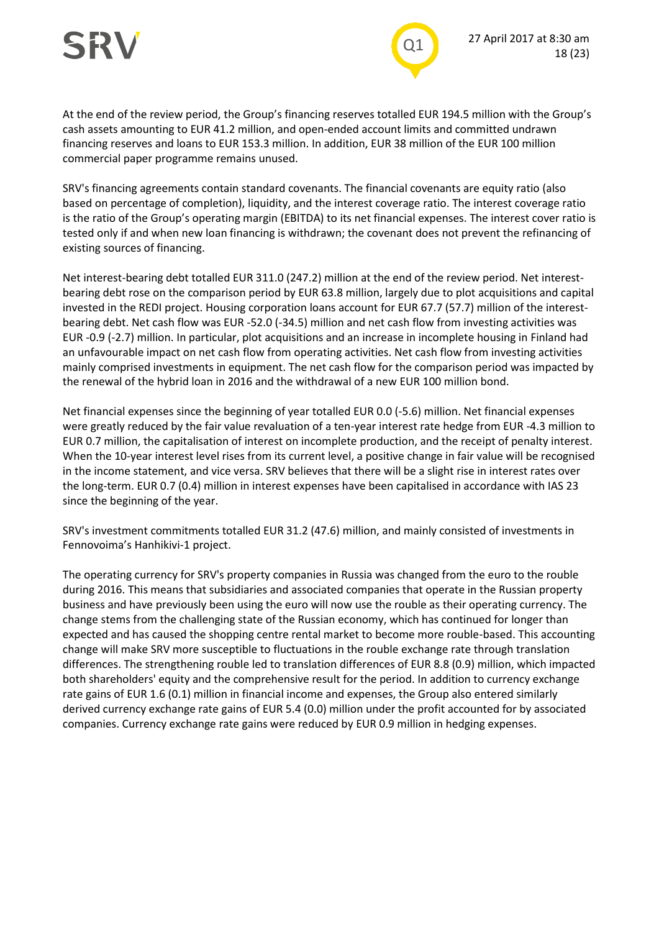

At the end of the review period, the Group's financing reserves totalled EUR 194.5 million with the Group's cash assets amounting to EUR 41.2 million, and open-ended account limits and committed undrawn financing reserves and loans to EUR 153.3 million. In addition, EUR 38 million of the EUR 100 million commercial paper programme remains unused.

SRV's financing agreements contain standard covenants. The financial covenants are equity ratio (also based on percentage of completion), liquidity, and the interest coverage ratio. The interest coverage ratio is the ratio of the Group's operating margin (EBITDA) to its net financial expenses. The interest cover ratio is tested only if and when new loan financing is withdrawn; the covenant does not prevent the refinancing of existing sources of financing.

Net interest-bearing debt totalled EUR 311.0 (247.2) million at the end of the review period. Net interestbearing debt rose on the comparison period by EUR 63.8 million, largely due to plot acquisitions and capital invested in the REDI project. Housing corporation loans account for EUR 67.7 (57.7) million of the interestbearing debt. Net cash flow was EUR -52.0 (-34.5) million and net cash flow from investing activities was EUR -0.9 (-2.7) million. In particular, plot acquisitions and an increase in incomplete housing in Finland had an unfavourable impact on net cash flow from operating activities. Net cash flow from investing activities mainly comprised investments in equipment. The net cash flow for the comparison period was impacted by the renewal of the hybrid loan in 2016 and the withdrawal of a new EUR 100 million bond.

Net financial expenses since the beginning of year totalled EUR 0.0 (-5.6) million. Net financial expenses were greatly reduced by the fair value revaluation of a ten-year interest rate hedge from EUR -4.3 million to EUR 0.7 million, the capitalisation of interest on incomplete production, and the receipt of penalty interest. When the 10-year interest level rises from its current level, a positive change in fair value will be recognised in the income statement, and vice versa. SRV believes that there will be a slight rise in interest rates over the long-term. EUR 0.7 (0.4) million in interest expenses have been capitalised in accordance with IAS 23 since the beginning of the year.

SRV's investment commitments totalled EUR 31.2 (47.6) million, and mainly consisted of investments in Fennovoima's Hanhikivi-1 project.

The operating currency for SRV's property companies in Russia was changed from the euro to the rouble during 2016. This means that subsidiaries and associated companies that operate in the Russian property business and have previously been using the euro will now use the rouble as their operating currency. The change stems from the challenging state of the Russian economy, which has continued for longer than expected and has caused the shopping centre rental market to become more rouble-based. This accounting change will make SRV more susceptible to fluctuations in the rouble exchange rate through translation differences. The strengthening rouble led to translation differences of EUR 8.8 (0.9) million, which impacted both shareholders' equity and the comprehensive result for the period. In addition to currency exchange rate gains of EUR 1.6 (0.1) million in financial income and expenses, the Group also entered similarly derived currency exchange rate gains of EUR 5.4 (0.0) million under the profit accounted for by associated companies. Currency exchange rate gains were reduced by EUR 0.9 million in hedging expenses.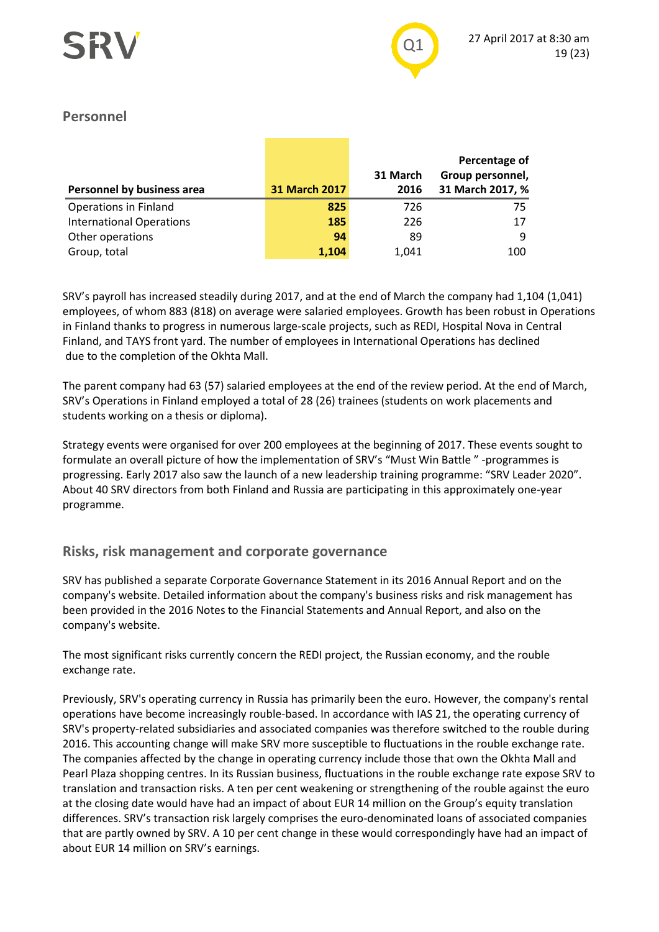#### **Personnel**

|                                 |                      | 31 March | Percentage of<br>Group personnel, |
|---------------------------------|----------------------|----------|-----------------------------------|
| Personnel by business area      | <b>31 March 2017</b> | 2016     | 31 March 2017, %                  |
| <b>Operations in Finland</b>    | 825                  | 726      | 75                                |
| <b>International Operations</b> | 185                  | 226      | 17                                |
| Other operations                | 94                   | 89       | 9                                 |
| Group, total                    | 1.104                | 1.041    | 100                               |

SRV's payroll has increased steadily during 2017, and at the end of March the company had 1,104 (1,041) employees, of whom 883 (818) on average were salaried employees. Growth has been robust in Operations in Finland thanks to progress in numerous large-scale projects, such as REDI, Hospital Nova in Central Finland, and TAYS front yard. The number of employees in International Operations has declined due to the completion of the Okhta Mall.

The parent company had 63 (57) salaried employees at the end of the review period. At the end of March, SRV's Operations in Finland employed a total of 28 (26) trainees (students on work placements and students working on a thesis or diploma).

Strategy events were organised for over 200 employees at the beginning of 2017. These events sought to formulate an overall picture of how the implementation of SRV's "Must Win Battle " -programmes is progressing. Early 2017 also saw the launch of a new leadership training programme: "SRV Leader 2020". About 40 SRV directors from both Finland and Russia are participating in this approximately one-year programme.

#### **Risks, risk management and corporate governance**

SRV has published a separate Corporate Governance Statement in its 2016 Annual Report and on the company's website. Detailed information about the company's business risks and risk management has been provided in the 2016 Notes to the Financial Statements and Annual Report, and also on the company's website.

The most significant risks currently concern the REDI project, the Russian economy, and the rouble exchange rate.

Previously, SRV's operating currency in Russia has primarily been the euro. However, the company's rental operations have become increasingly rouble-based. In accordance with IAS 21, the operating currency of SRV's property-related subsidiaries and associated companies was therefore switched to the rouble during 2016. This accounting change will make SRV more susceptible to fluctuations in the rouble exchange rate. The companies affected by the change in operating currency include those that own the Okhta Mall and Pearl Plaza shopping centres. In its Russian business, fluctuations in the rouble exchange rate expose SRV to translation and transaction risks. A ten per cent weakening or strengthening of the rouble against the euro at the closing date would have had an impact of about EUR 14 million on the Group's equity translation differences. SRV's transaction risk largely comprises the euro-denominated loans of associated companies that are partly owned by SRV. A 10 per cent change in these would correspondingly have had an impact of about EUR 14 million on SRV's earnings.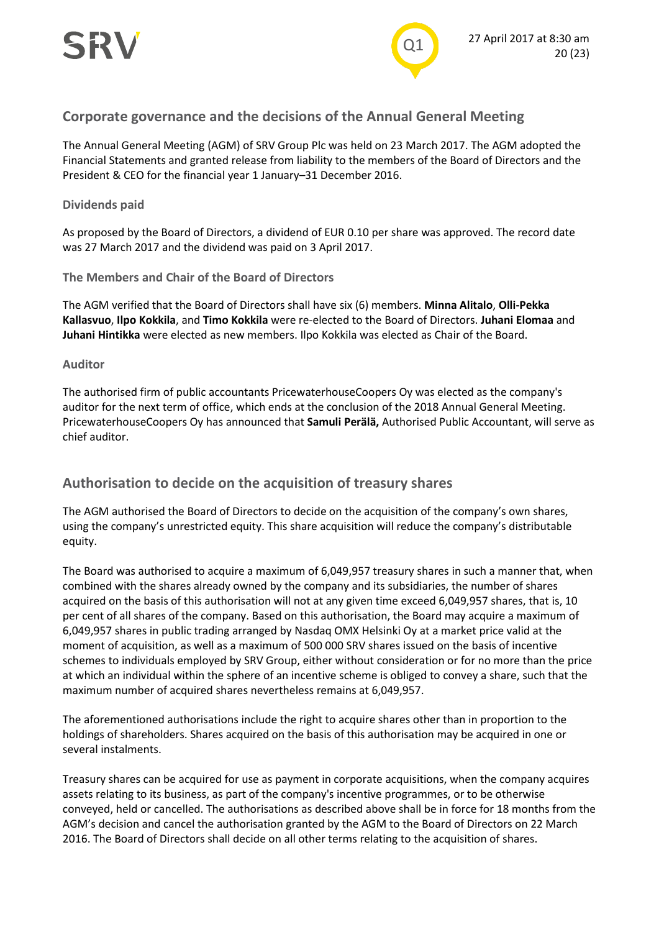

#### **Corporate governance and the decisions of the Annual General Meeting**

The Annual General Meeting (AGM) of SRV Group Plc was held on 23 March 2017. The AGM adopted the Financial Statements and granted release from liability to the members of the Board of Directors and the President & CEO for the financial year 1 January–31 December 2016.

#### **Dividends paid**

As proposed by the Board of Directors, a dividend of EUR 0.10 per share was approved. The record date was 27 March 2017 and the dividend was paid on 3 April 2017.

**The Members and Chair of the Board of Directors**

The AGM verified that the Board of Directors shall have six (6) members. **Minna Alitalo**, **Olli-Pekka Kallasvuo**, **Ilpo Kokkila**, and **Timo Kokkila** were re-elected to the Board of Directors. **Juhani Elomaa** and **Juhani Hintikka** were elected as new members. Ilpo Kokkila was elected as Chair of the Board.

#### **Auditor**

The authorised firm of public accountants PricewaterhouseCoopers Oy was elected as the company's auditor for the next term of office, which ends at the conclusion of the 2018 Annual General Meeting. PricewaterhouseCoopers Oy has announced that **Samuli Perälä,** Authorised Public Accountant, will serve as chief auditor.

#### **Authorisation to decide on the acquisition of treasury shares**

The AGM authorised the Board of Directors to decide on the acquisition of the company's own shares, using the company's unrestricted equity. This share acquisition will reduce the company's distributable equity.

The Board was authorised to acquire a maximum of 6,049,957 treasury shares in such a manner that, when combined with the shares already owned by the company and its subsidiaries, the number of shares acquired on the basis of this authorisation will not at any given time exceed 6,049,957 shares, that is, 10 per cent of all shares of the company. Based on this authorisation, the Board may acquire a maximum of 6,049,957 shares in public trading arranged by Nasdaq OMX Helsinki Oy at a market price valid at the moment of acquisition, as well as a maximum of 500 000 SRV shares issued on the basis of incentive schemes to individuals employed by SRV Group, either without consideration or for no more than the price at which an individual within the sphere of an incentive scheme is obliged to convey a share, such that the maximum number of acquired shares nevertheless remains at 6,049,957.

The aforementioned authorisations include the right to acquire shares other than in proportion to the holdings of shareholders. Shares acquired on the basis of this authorisation may be acquired in one or several instalments.

Treasury shares can be acquired for use as payment in corporate acquisitions, when the company acquires assets relating to its business, as part of the company's incentive programmes, or to be otherwise conveyed, held or cancelled. The authorisations as described above shall be in force for 18 months from the AGM's decision and cancel the authorisation granted by the AGM to the Board of Directors on 22 March 2016. The Board of Directors shall decide on all other terms relating to the acquisition of shares.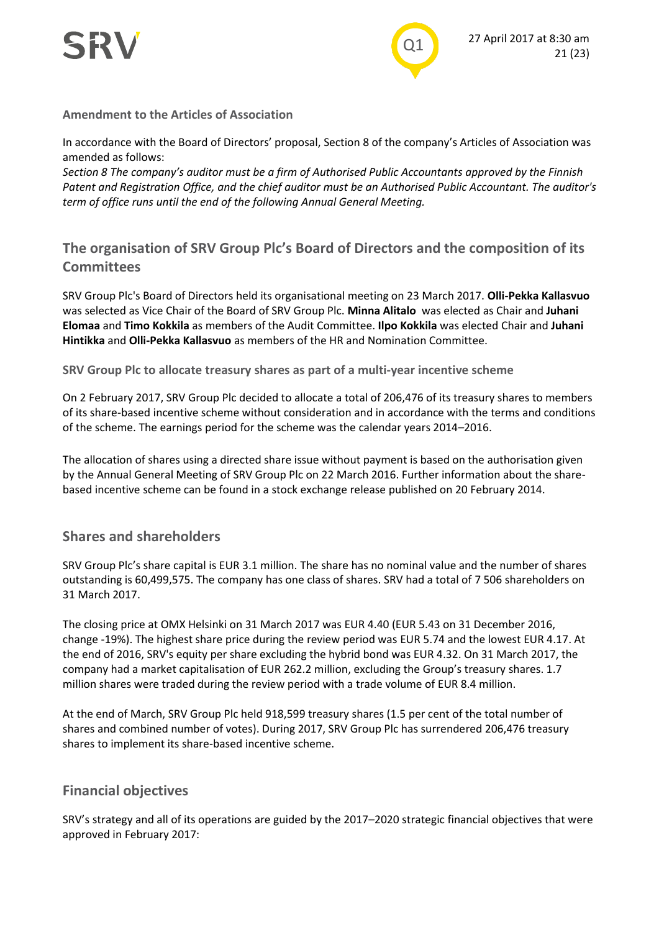



#### **Amendment to the Articles of Association**

In accordance with the Board of Directors' proposal, Section 8 of the company's Articles of Association was amended as follows:

*Section 8 The company's auditor must be a firm of Authorised Public Accountants approved by the Finnish Patent and Registration Office, and the chief auditor must be an Authorised Public Accountant. The auditor's term of office runs until the end of the following Annual General Meeting.*

### **The organisation of SRV Group Plc's Board of Directors and the composition of its Committees**

SRV Group Plc's Board of Directors held its organisational meeting on 23 March 2017. **Olli-Pekka Kallasvuo** was selected as Vice Chair of the Board of SRV Group Plc. **Minna Alitalo** was elected as Chair and **Juhani Elomaa** and **Timo Kokkila** as members of the Audit Committee. **Ilpo Kokkila** was elected Chair and **Juhani Hintikka** and **Olli-Pekka Kallasvuo** as members of the HR and Nomination Committee.

**SRV Group Plc to allocate treasury shares as part of a multi-year incentive scheme**

On 2 February 2017, SRV Group Plc decided to allocate a total of 206,476 of its treasury shares to members of its share-based incentive scheme without consideration and in accordance with the terms and conditions of the scheme. The earnings period for the scheme was the calendar years 2014–2016.

The allocation of shares using a directed share issue without payment is based on the authorisation given by the Annual General Meeting of SRV Group Plc on 22 March 2016. Further information about the sharebased incentive scheme can be found in a stock exchange release published on 20 February 2014.

#### **Shares and shareholders**

SRV Group Plc's share capital is EUR 3.1 million. The share has no nominal value and the number of shares outstanding is 60,499,575. The company has one class of shares. SRV had a total of 7 506 shareholders on 31 March 2017.

The closing price at OMX Helsinki on 31 March 2017 was EUR 4.40 (EUR 5.43 on 31 December 2016, change -19%). The highest share price during the review period was EUR 5.74 and the lowest EUR 4.17. At the end of 2016, SRV's equity per share excluding the hybrid bond was EUR 4.32. On 31 March 2017, the company had a market capitalisation of EUR 262.2 million, excluding the Group's treasury shares. 1.7 million shares were traded during the review period with a trade volume of EUR 8.4 million.

At the end of March, SRV Group Plc held 918,599 treasury shares (1.5 per cent of the total number of shares and combined number of votes). During 2017, SRV Group Plc has surrendered 206,476 treasury shares to implement its share-based incentive scheme.

#### **Financial objectives**

SRV's strategy and all of its operations are guided by the 2017–2020 strategic financial objectives that were approved in February 2017: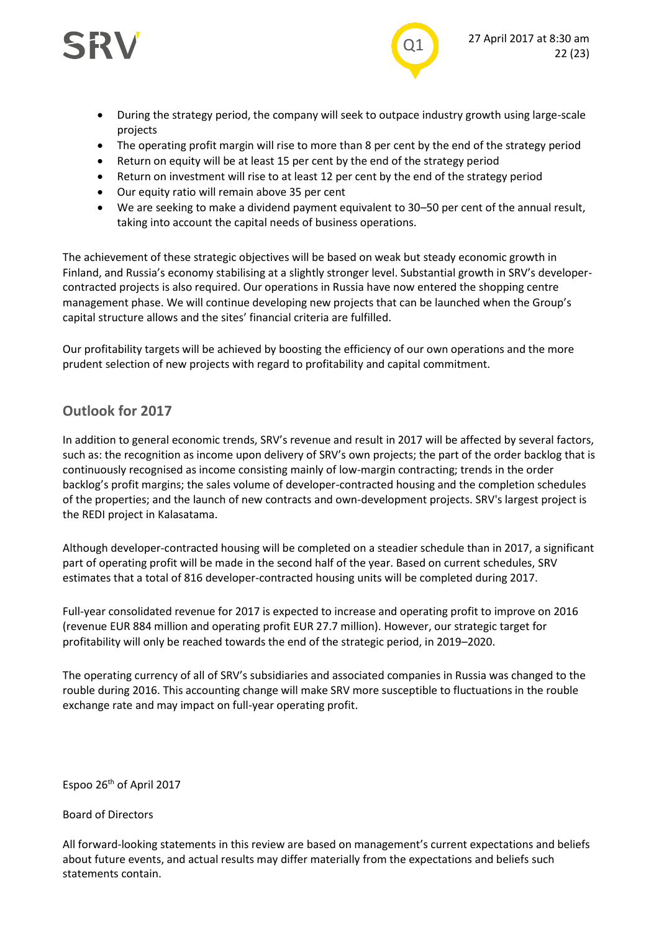



- During the strategy period, the company will seek to outpace industry growth using large-scale projects
- The operating profit margin will rise to more than 8 per cent by the end of the strategy period
- Return on equity will be at least 15 per cent by the end of the strategy period
- Return on investment will rise to at least 12 per cent by the end of the strategy period
- Our equity ratio will remain above 35 per cent
- We are seeking to make a dividend payment equivalent to 30–50 per cent of the annual result, taking into account the capital needs of business operations.

The achievement of these strategic objectives will be based on weak but steady economic growth in Finland, and Russia's economy stabilising at a slightly stronger level. Substantial growth in SRV's developercontracted projects is also required. Our operations in Russia have now entered the shopping centre management phase. We will continue developing new projects that can be launched when the Group's capital structure allows and the sites' financial criteria are fulfilled.

Our profitability targets will be achieved by boosting the efficiency of our own operations and the more prudent selection of new projects with regard to profitability and capital commitment.

#### **Outlook for 2017**

In addition to general economic trends, SRV's revenue and result in 2017 will be affected by several factors, such as: the recognition as income upon delivery of SRV's own projects; the part of the order backlog that is continuously recognised as income consisting mainly of low-margin contracting; trends in the order backlog's profit margins; the sales volume of developer-contracted housing and the completion schedules of the properties; and the launch of new contracts and own-development projects. SRV's largest project is the REDI project in Kalasatama.

Although developer-contracted housing will be completed on a steadier schedule than in 2017, a significant part of operating profit will be made in the second half of the year. Based on current schedules, SRV estimates that a total of 816 developer-contracted housing units will be completed during 2017.

Full-year consolidated revenue for 2017 is expected to increase and operating profit to improve on 2016 (revenue EUR 884 million and operating profit EUR 27.7 million). However, our strategic target for profitability will only be reached towards the end of the strategic period, in 2019–2020.

The operating currency of all of SRV's subsidiaries and associated companies in Russia was changed to the rouble during 2016. This accounting change will make SRV more susceptible to fluctuations in the rouble exchange rate and may impact on full-year operating profit.

Espoo 26<sup>th</sup> of April 2017

#### Board of Directors

All forward-looking statements in this review are based on management's current expectations and beliefs about future events, and actual results may differ materially from the expectations and beliefs such statements contain.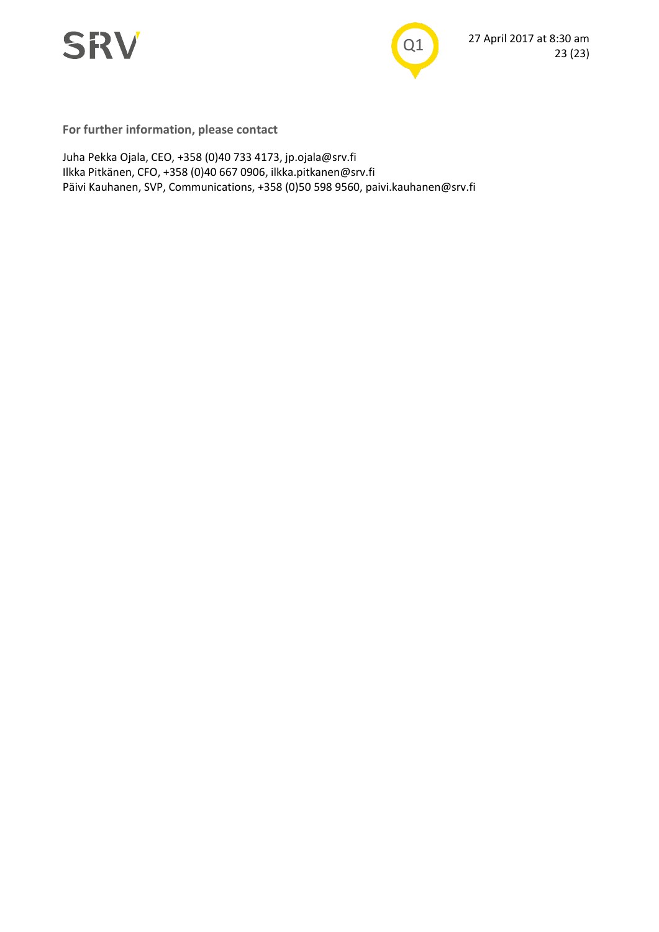



**For further information, please contact**

Juha Pekka Ojala, CEO, +358 (0)40 733 4173, jp.ojala@srv.fi Ilkka Pitkänen, CFO, +358 (0)40 667 0906, ilkka.pitkanen@srv.fi Päivi Kauhanen, SVP, Communications, +358 (0)50 598 9560, paivi.kauhanen@srv.fi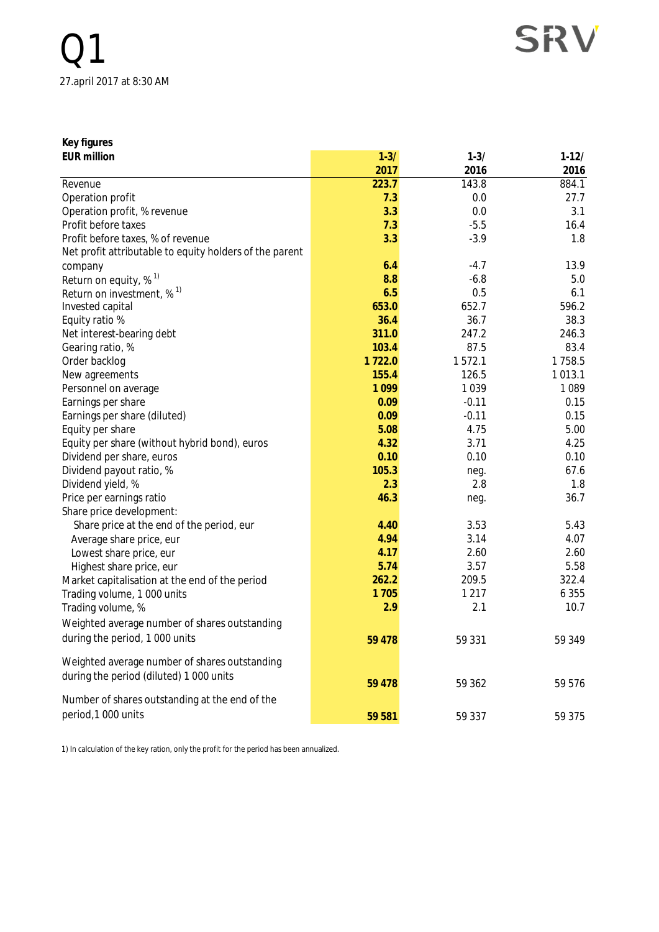SRV

| Key figures   |  |
|---------------|--|
|               |  |
| $EID$ million |  |

| <b>EUR million</b>                                      | $1 - 3/$ | $1 - 3/$ | $1 - 12/$ |
|---------------------------------------------------------|----------|----------|-----------|
|                                                         | 2017     | 2016     | 2016      |
| Revenue                                                 | 223.7    | 143.8    | 884.1     |
| Operation profit                                        | 7.3      | 0.0      | 27.7      |
| Operation profit, % revenue                             | 3.3      | 0.0      | 3.1       |
| Profit before taxes                                     | 7.3      | $-5.5$   | 16.4      |
| Profit before taxes, % of revenue                       | 3.3      | $-3.9$   | 1.8       |
| Net profit attributable to equity holders of the parent |          |          |           |
| company                                                 | 6.4      | $-4.7$   | 13.9      |
| Return on equity, % <sup>1)</sup>                       | 8.8      | $-6.8$   | 5.0       |
| Return on investment, $\%$ <sup>1)</sup>                | 6.5      | 0.5      | 6.1       |
| Invested capital                                        | 653.0    | 652.7    | 596.2     |
| Equity ratio %                                          | 36.4     | 36.7     | 38.3      |
| Net interest-bearing debt                               | 311.0    | 247.2    | 246.3     |
| Gearing ratio, %                                        | 103.4    | 87.5     | 83.4      |
| Order backlog                                           | 1722.0   | 1572.1   | 1758.5    |
| New agreements                                          | 155.4    | 126.5    | 1013.1    |
| Personnel on average                                    | 1099     | 1039     | 1 0 8 9   |
| Earnings per share                                      | 0.09     | $-0.11$  | 0.15      |
| Earnings per share (diluted)                            | 0.09     | $-0.11$  | 0.15      |
| Equity per share                                        | 5.08     | 4.75     | 5.00      |
| Equity per share (without hybrid bond), euros           | 4.32     | 3.71     | 4.25      |
| Dividend per share, euros                               | 0.10     | 0.10     | 0.10      |
| Dividend payout ratio, %                                | 105.3    | neg.     | 67.6      |
| Dividend yield, %                                       | 2.3      | 2.8      | 1.8       |
| Price per earnings ratio                                | 46.3     | neg.     | 36.7      |
| Share price development:                                |          |          |           |
| Share price at the end of the period, eur               | 4.40     | 3.53     | 5.43      |
| Average share price, eur                                | 4.94     | 3.14     | 4.07      |
| Lowest share price, eur                                 | 4.17     | 2.60     | 2.60      |
| Highest share price, eur                                | 5.74     | 3.57     | 5.58      |
| Market capitalisation at the end of the period          | 262.2    | 209.5    | 322.4     |
| Trading volume, 1 000 units                             | 1705     | 1 2 1 7  | 6 3 5 5   |
| Trading volume, %                                       | 2.9      | 2.1      | 10.7      |
| Weighted average number of shares outstanding           |          |          |           |
| during the period, 1 000 units                          | 59 478   | 59 331   | 59 349    |
|                                                         |          |          |           |
| Weighted average number of shares outstanding           |          |          |           |
| during the period (diluted) 1 000 units                 | 59 478   | 59 362   | 59 576    |
|                                                         |          |          |           |
| Number of shares outstanding at the end of the          |          |          |           |
| period, 1000 units                                      | 59 581   | 59 337   | 59 375    |

1) In calculation of the key ration, only the profit for the period has been annualized.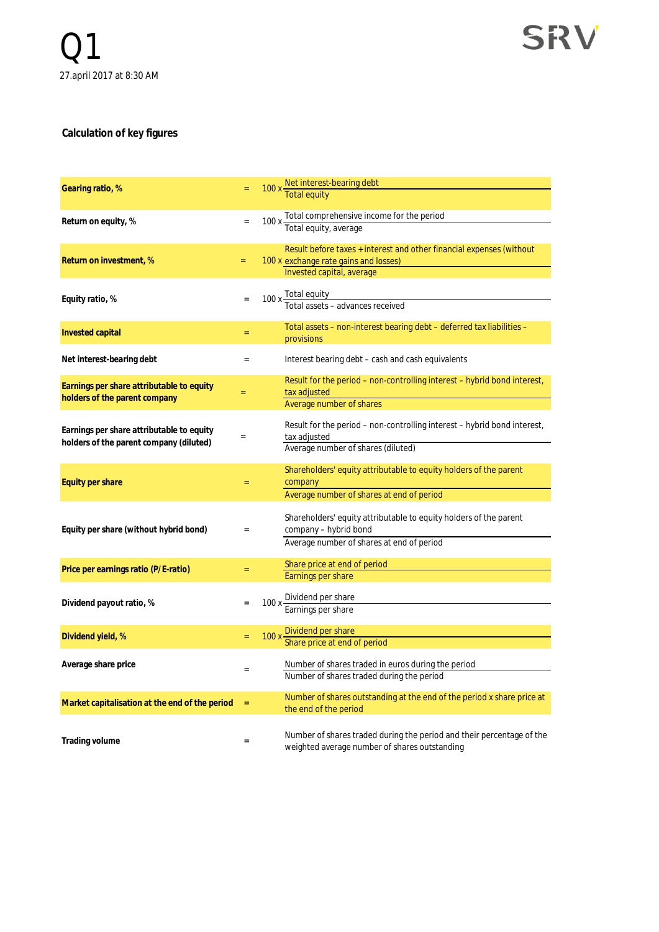#### **Calculation of key figures**

| Gearing ratio, %                                                                     |     | 100 x Net interest-bearing debt                                                                                                            |
|--------------------------------------------------------------------------------------|-----|--------------------------------------------------------------------------------------------------------------------------------------------|
| Return on equity, %                                                                  |     | 100 x Total comprehensive income for the period<br>Total equity, average                                                                   |
| Return on investment, %                                                              | $=$ | Result before taxes + interest and other financial expenses (without<br>100 x exchange rate gains and losses)<br>Invested capital, average |
| Equity ratio, %                                                                      |     | 100 x Total equity<br>Total assets – advances received                                                                                     |
| Invested capital                                                                     | Ξ   | Total assets – non-interest bearing debt – deferred tax liabilities –<br>provisions                                                        |
| Net interest-bearing debt                                                            | $=$ | Interest bearing debt – cash and cash equivalents                                                                                          |
| Earnings per share attributable to equity<br>holders of the parent company           | Ξ   | Result for the period – non-controlling interest – hybrid bond interest,<br>tax adjusted<br>Average number of shares                       |
| Earnings per share attributable to equity<br>holders of the parent company (diluted) |     | Result for the period – non-controlling interest – hybrid bond interest,<br>tax adjusted<br>Average number of shares (diluted)             |
| Equity per share                                                                     | $=$ | Shareholders' equity attributable to equity holders of the parent<br>company<br>Average number of shares at end of period                  |
| Equity per share (without hybrid bond)                                               | $=$ | Shareholders' equity attributable to equity holders of the parent<br>company - hybrid bond<br>Average number of shares at end of period    |
| Price per earnings ratio (P/E-ratio)                                                 | $=$ | Share price at end of period<br>Earnings per share                                                                                         |
| Dividend payout ratio, %                                                             |     | 100 x Dividend per share<br>Earnings per share                                                                                             |
| Dividend yield, %                                                                    |     | 100 x Dividend per share<br>Share price at end of period                                                                                   |
| Average share price                                                                  |     | Number of shares traded in euros during the period<br>Number of shares traded during the period                                            |
| Market capitalisation at the end of the period                                       | $=$ | Number of shares outstanding at the end of the period x share price at<br>the end of the period                                            |
| Trading volume                                                                       | $=$ | Number of shares traded during the period and their percentage of the<br>weighted average number of shares outstanding                     |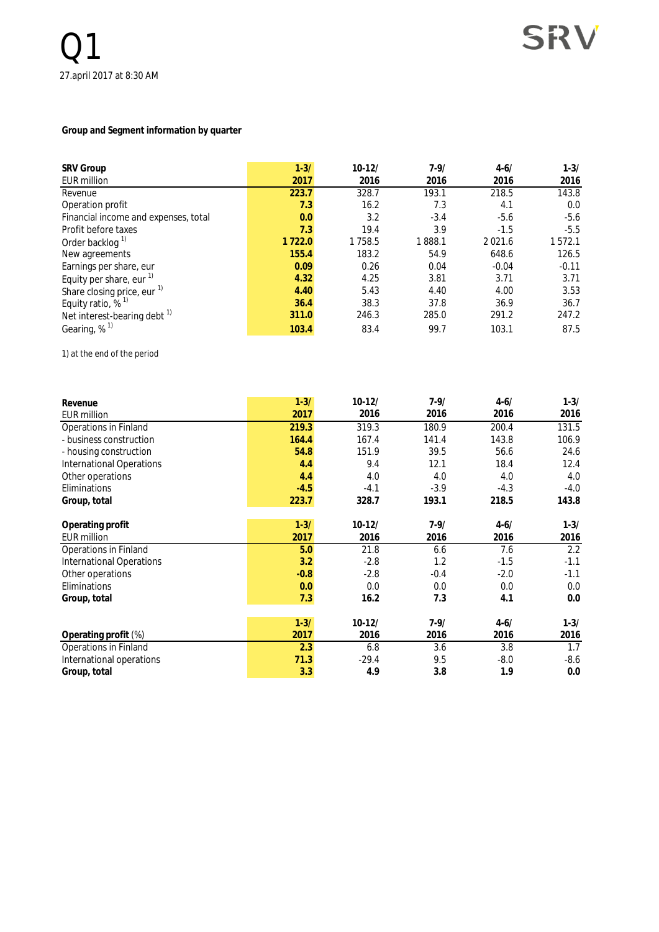#### **Group and Segment information by quarter**

| <b>SRV Group</b>                        | $1 - 3/$ | $10-12/$ | $7 - 9/$ | $4 - 6/$    | $1 - 3/$ |
|-----------------------------------------|----------|----------|----------|-------------|----------|
| <b>EUR million</b>                      | 2017     | 2016     | 2016     | 2016        | 2016     |
| Revenue                                 | 223.7    | 328.7    | 193.1    | 218.5       | 143.8    |
| Operation profit                        | 7.3      | 16.2     | 7.3      | 4.1         | 0.0      |
| Financial income and expenses, total    | 0.0      | 3.2      | $-3.4$   | $-5.6$      | $-5.6$   |
| Profit before taxes                     | 7.3      | 19.4     | 3.9      | $-1.5$      | $-5.5$   |
| Order backlog <sup>1)</sup>             | 1722.0   | 1758.5   | 1888.1   | 2 0 2 1 . 6 | 572.1    |
| New agreements                          | 155.4    | 183.2    | 54.9     | 648.6       | 126.5    |
| Earnings per share, eur                 | 0.09     | 0.26     | 0.04     | $-0.04$     | $-0.11$  |
| Equity per share, eur $1$ )             | 4.32     | 4.25     | 3.81     | 3.71        | 3.71     |
| Share closing price, eur <sup>1)</sup>  | 4.40     | 5.43     | 4.40     | 4.00        | 3.53     |
| Equity ratio, $%$ <sup>1)</sup>         | 36.4     | 38.3     | 37.8     | 36.9        | 36.7     |
| Net interest-bearing debt <sup>1)</sup> | 311.0    | 246.3    | 285.0    | 291.2       | 247.2    |
| Gearing, % <sup>1)</sup>                | 103.4    | 83.4     | 99.7     | 103.1       | 87.5     |

1) at the end of the period

| Revenue                         | $1 - 3/$ | $10-12/$ | $7 - 9/$ | $4 - 6/$ | $1 - 3/$ |
|---------------------------------|----------|----------|----------|----------|----------|
| <b>EUR million</b>              | 2017     | 2016     | 2016     | 2016     | 2016     |
| <b>Operations in Finland</b>    | 219.3    | 319.3    | 180.9    | 200.4    | 131.5    |
| - business construction         | 164.4    | 167.4    | 141.4    | 143.8    | 106.9    |
| - housing construction          | 54.8     | 151.9    | 39.5     | 56.6     | 24.6     |
| <b>International Operations</b> | 4.4      | 9.4      | 12.1     | 18.4     | 12.4     |
| Other operations                | 4.4      | 4.0      | 4.0      | 4.0      | 4.0      |
| Eliminations                    | $-4.5$   | $-4.1$   | $-3.9$   | $-4.3$   | $-4.0$   |
| Group, total                    | 223.7    | 328.7    | 193.1    | 218.5    | 143.8    |
|                                 |          |          |          |          |          |
| Operating profit                | $1 - 3/$ | $10-12/$ | $7 - 9/$ | $4 - 6/$ | $1 - 3/$ |
| <b>EUR million</b>              | 2017     | 2016     | 2016     | 2016     | 2016     |
| Operations in Finland           | 5.0      | 21.8     | 6.6      | 7.6      | 2.2      |
| <b>International Operations</b> | 3.2      | $-2.8$   | 1.2      | $-1.5$   | $-1.1$   |
| Other operations                | $-0.8$   | $-2.8$   | $-0.4$   | $-2.0$   | $-1.1$   |
| Eliminations                    | 0.0      | 0.0      | 0.0      | 0.0      | 0.0      |
| Group, total                    | 7.3      | 16.2     | 7.3      | 4.1      | 0.0      |
|                                 |          |          |          |          |          |
|                                 | $1 - 3/$ | $10-12/$ | $7 - 9/$ | $4 - 6/$ | $1 - 3/$ |
| Operating profit (%)            | 2017     | 2016     | 2016     | 2016     | 2016     |
| Operations in Finland           | 2.3      | 6.8      | 3.6      | 3.8      | 1.7      |
| International operations        | 71.3     | $-29.4$  | 9.5      | $-8.0$   | $-8.6$   |
| Group, total                    | 3.3      | 4.9      | 3.8      | 1.9      | 0.0      |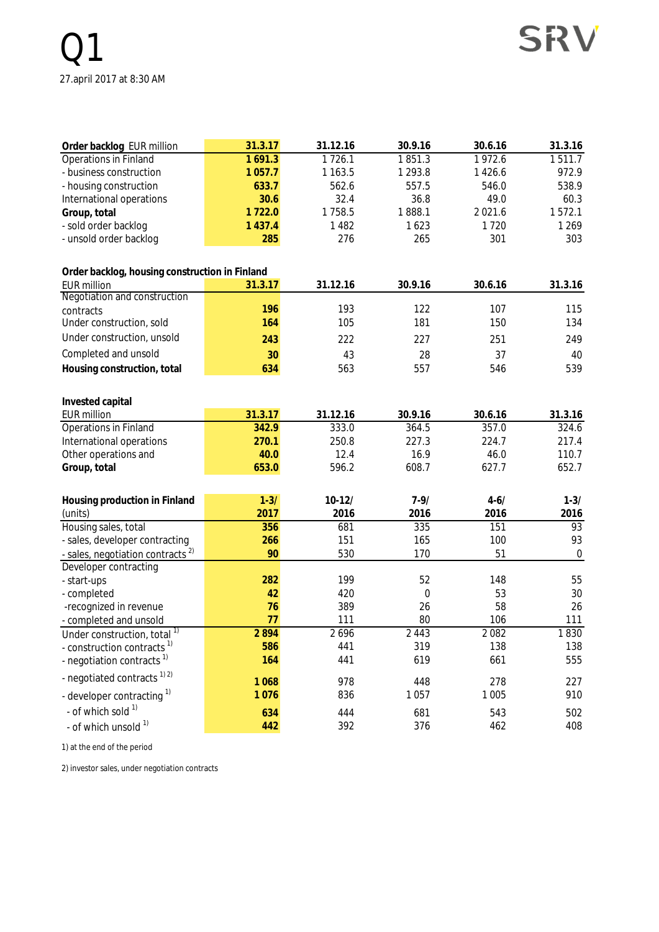| Order backlog EUR million                      | 31.3.17     | 31.12.16    | 30.9.16       | 30.6.16  | 31.3.16          |
|------------------------------------------------|-------------|-------------|---------------|----------|------------------|
| Operations in Finland                          | 1691.3      | 1726.1      | 1851.3        | 1972.6   | 1511.7           |
| - business construction                        | 1 0 5 7 . 7 | 1 1 6 3 . 5 | 1 2 9 3.8     | 1426.6   | 972.9            |
| - housing construction                         | 633.7       | 562.6       | 557.5         | 546.0    | 538.9            |
| International operations                       | 30.6        | 32.4        | 36.8          | 49.0     | 60.3             |
| Group, total                                   | 1722.0      | 1758.5      | 1888.1        | 2021.6   | 1572.1           |
| - sold order backlog                           | 1 4 3 7 . 4 | 1482        | 1623          | 1720     | 1269             |
| - unsold order backlog                         | 285         | 276         | 265           | 301      | 303              |
| Order backlog, housing construction in Finland |             |             |               |          |                  |
| <b>EUR million</b>                             | 31.3.17     | 31.12.16    | 30.9.16       | 30.6.16  | 31.3.16          |
| Negotiation and construction                   |             |             |               |          |                  |
| contracts                                      | 196         | 193         | 122           | 107      | 115              |
| Under construction, sold                       | 164         | 105         | 181           | 150      | 134              |
| Under construction, unsold                     | 243         | 222         | 227           | 251      | 249              |
| Completed and unsold                           | 30          | 43          | 28            | 37       | 40               |
| Housing construction, total                    | 634         | 563         | 557           | 546      | 539              |
|                                                |             |             |               |          |                  |
| Invested capital                               |             |             |               |          |                  |
| <b>EUR million</b>                             | 31.3.17     | 31.12.16    | 30.9.16       | 30.6.16  | 31.3.16          |
| <b>Operations in Finland</b>                   | 342.9       | 333.0       | 364.5         | 357.0    | 324.6            |
| International operations                       | 270.1       | 250.8       | 227.3         | 224.7    | 217.4            |
| Other operations and                           | 40.0        | 12.4        | 16.9<br>608.7 | 46.0     | 110.7<br>652.7   |
| Group, total                                   | 653.0       | 596.2       |               | 627.7    |                  |
| Housing production in Finland                  | $1 - 3/$    | $10-12/$    | $7 - 9/$      | $4 - 6/$ | $1 - 3/$         |
| (units)                                        | 2017        | 2016        | 2016          | 2016     | 2016             |
| Housing sales, total                           | 356         | 681         | 335           | 151      | 93               |
| - sales, developer contracting                 | 266         | 151         | 165           | 100      | 93               |
| - sales, negotiation contracts <sup>2)</sup>   | 90          | 530         | 170           | 51       | $\boldsymbol{0}$ |
| Developer contracting                          |             |             |               |          |                  |
| - start-ups                                    | 282         | 199         | 52            | 148      | 55               |
| - completed                                    | 42          | 420         | 0             | 53       | 30               |
| -recognized in revenue                         | 76          | 389         | 26            | 58       | 26               |
| - completed and unsold                         | 77          | 111         | 80            | 106      | 111              |
| Under construction, total $\overline{1}$       | 2894        | 2696        | 2 4 4 3       | 2082     | 1830             |
| - construction contracts <sup>1)</sup>         | 586         | 441         | 319           | 138      | 138              |
| - negotiation contracts <sup>1)</sup>          | 164         | 441         | 619           | 661      | 555              |
| - negotiated contracts <sup>1) 2)</sup>        | 1068        | 978         | 448           | 278      | 227              |
| - developer contracting <sup>1)</sup>          | 1076        | 836         | 1057          | 1 0 0 5  | 910              |
| - of which sold 1)                             | 634         | 444         | 681           | 543      | 502              |
| - of which unsold 1)                           | 442         | 392         | 376           | 462      | 408              |

1) at the end of the period

2) investor sales, under negotiation contracts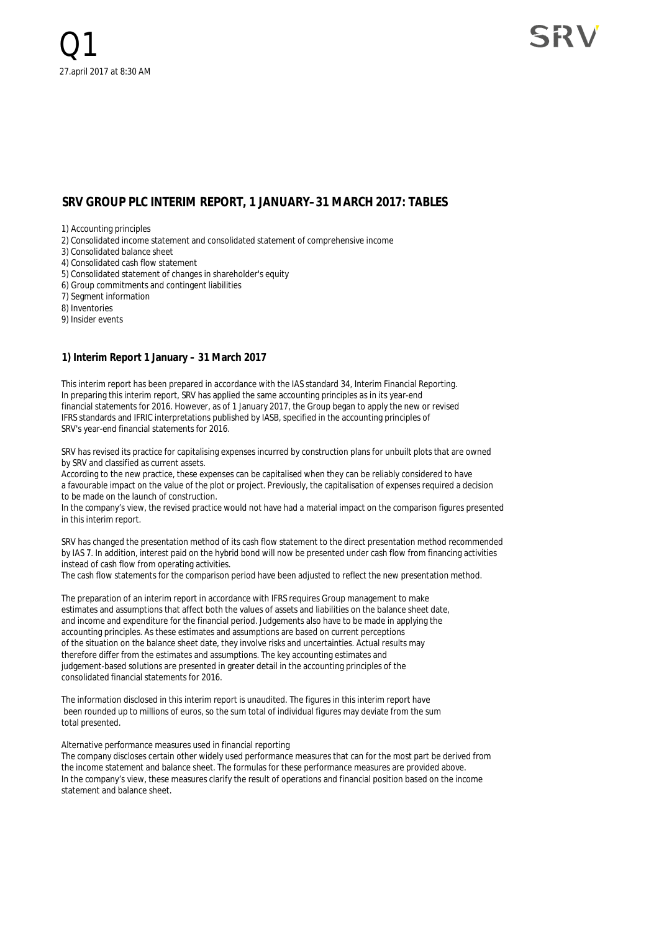#### **SRV GROUP PLC INTERIM REPORT, 1 JANUARY–31 MARCH 2017: TABLES**

1) Accounting principles

2) Consolidated income statement and consolidated statement of comprehensive income

3) Consolidated balance sheet

4) Consolidated cash flow statement

5) Consolidated statement of changes in shareholder's equity

6) Group commitments and contingent liabilities

7) Segment information

8) Inventories

9) Insider events

#### **1) Interim Report 1 January – 31 March 2017**

This interim report has been prepared in accordance with the IAS standard 34, Interim Financial Reporting. In preparing this interim report, SRV has applied the same accounting principles as in its year-end financial statements for 2016. However, as of 1 January 2017, the Group began to apply the new or revised IFRS standards and IFRIC interpretations published by IASB, specified in the accounting principles of SRV's year-end financial statements for 2016.

SRV has revised its practice for capitalising expenses incurred by construction plans for unbuilt plots that are owned by SRV and classified as current assets.

According to the new practice, these expenses can be capitalised when they can be reliably considered to have a favourable impact on the value of the plot or project. Previously, the capitalisation of expenses required a decision to be made on the launch of construction.

In the company's view, the revised practice would not have had a material impact on the comparison figures presented in this interim report.

SRV has changed the presentation method of its cash flow statement to the direct presentation method recommended by IAS 7. In addition, interest paid on the hybrid bond will now be presented under cash flow from financing activities instead of cash flow from operating activities.

The cash flow statements for the comparison period have been adjusted to reflect the new presentation method.

The preparation of an interim report in accordance with IFRS requires Group management to make estimates and assumptions that affect both the values of assets and liabilities on the balance sheet date, and income and expenditure for the financial period. Judgements also have to be made in applying the accounting principles. As these estimates and assumptions are based on current perceptions of the situation on the balance sheet date, they involve risks and uncertainties. Actual results may therefore differ from the estimates and assumptions. The key accounting estimates and judgement-based solutions are presented in greater detail in the accounting principles of the consolidated financial statements for 2016.

The information disclosed in this interim report is unaudited. The figures in this interim report have been rounded up to millions of euros, so the sum total of individual figures may deviate from the sum total presented.

#### Alternative performance measures used in financial reporting

The company discloses certain other widely used performance measures that can for the most part be derived from the income statement and balance sheet. The formulas for these performance measures are provided above. In the company's view, these measures clarify the result of operations and financial position based on the income statement and balance sheet.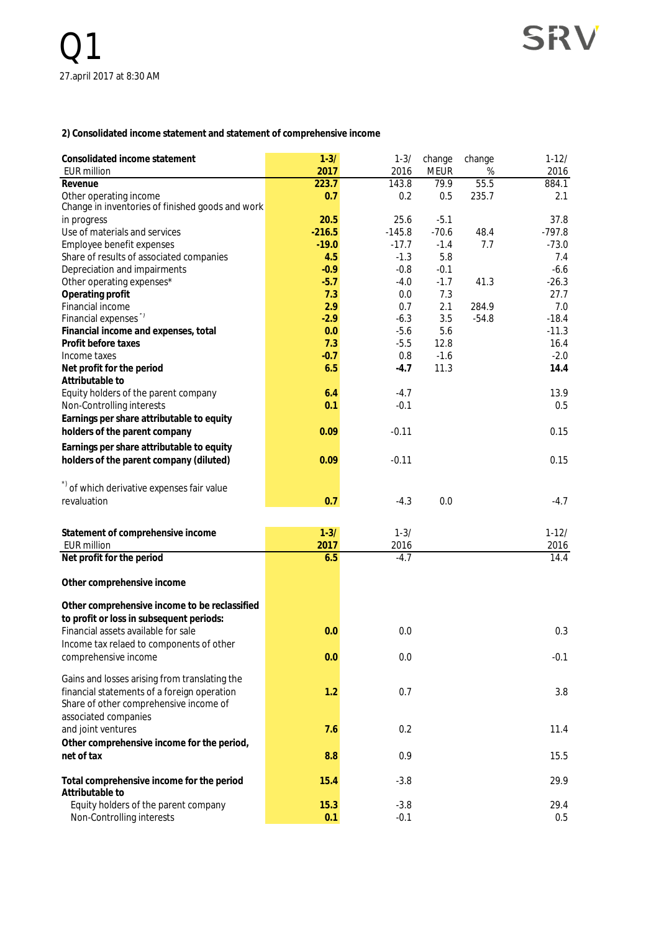**2) Consolidated income statement and statement of comprehensive income**

| Consolidated income statement<br><b>EUR million</b>                        | $1 - 3/$<br>2017 | $1 - 3/$<br>2016 | change<br><b>MEUR</b> | change<br>% | $1 - 12/$<br>2016 |
|----------------------------------------------------------------------------|------------------|------------------|-----------------------|-------------|-------------------|
| Revenue                                                                    | 223.7            | 143.8            | 79.9                  | 55.5        | 884.1             |
| Other operating income<br>Change in inventories of finished goods and work | 0.7              | 0.2              | 0.5                   | 235.7       | 2.1               |
| in progress                                                                | 20.5             | 25.6             | $-5.1$                |             | 37.8              |
| Use of materials and services                                              | $-216.5$         | $-145.8$         | $-70.6$               | 48.4        | $-797.8$          |
| Employee benefit expenses                                                  | $-19.0$          | $-17.7$          | $-1.4$                | 7.7         | $-73.0$           |
| Share of results of associated companies                                   | 4.5              | $-1.3$           | 5.8                   |             | 7.4               |
| Depreciation and impairments                                               | $-0.9$           | $-0.8$           | $-0.1$                |             | $-6.6$            |
| Other operating expenses*                                                  | $-5.7$           | $-4.0$           | $-1.7$                | 41.3        | $-26.3$           |
| Operating profit                                                           | 7.3              | 0.0              | 7.3                   |             | 27.7              |
| Financial income                                                           | 2.9              | 0.7              | 2.1                   | 284.9       | 7.0               |
| Financial expenses"                                                        | $-2.9$           | $-6.3$           | 3.5                   | $-54.8$     | $-18.4$           |
| Financial income and expenses, total                                       | 0.0              | $-5.6$           | 5.6                   |             | $-11.3$           |
| Profit before taxes                                                        | 7.3              | $-5.5$           | 12.8                  |             | 16.4              |
| Income taxes                                                               | $-0.7$           | 0.8              | $-1.6$                |             | $-2.0$            |
| Net profit for the period                                                  | 6.5              | $-4.7$           | 11.3                  |             | 14.4              |
| Attributable to                                                            |                  |                  |                       |             |                   |
| Equity holders of the parent company                                       | 6.4              | $-4.7$           |                       |             | 13.9              |
| Non-Controlling interests                                                  | 0.1              | $-0.1$           |                       |             | 0.5               |
| Earnings per share attributable to equity                                  |                  |                  |                       |             |                   |
| holders of the parent company                                              | 0.09             | $-0.11$          |                       |             | 0.15              |
|                                                                            |                  |                  |                       |             |                   |
| Earnings per share attributable to equity                                  |                  |                  |                       |             |                   |
| holders of the parent company (diluted)                                    | 0.09             | $-0.11$          |                       |             | 0.15              |
|                                                                            |                  |                  |                       |             |                   |
| *) of which derivative expenses fair value                                 |                  |                  |                       |             |                   |
| revaluation                                                                | 0.7              | $-4.3$           | 0.0                   |             | $-4.7$            |
|                                                                            |                  |                  |                       |             |                   |
| Statement of comprehensive income                                          | $1 - 3/$         | $1 - 3/$         |                       |             | $1 - 12/$         |
| <b>EUR million</b>                                                         | 2017             | 2016             |                       |             | 2016              |
| Net profit for the period                                                  | 6.5              | $-4.7$           |                       |             | 14.4              |
|                                                                            |                  |                  |                       |             |                   |
| Other comprehensive income                                                 |                  |                  |                       |             |                   |
|                                                                            |                  |                  |                       |             |                   |
| Other comprehensive income to be reclassified                              |                  |                  |                       |             |                   |
| to profit or loss in subsequent periods:                                   |                  |                  |                       |             |                   |
| Financial assets available for sale                                        | 0.0              | 0.0              |                       |             | 0.3               |
| Income tax relaed to components of other                                   |                  |                  |                       |             |                   |
| comprehensive income                                                       | 0.0              | 0.0              |                       |             | $-0.1$            |
| Gains and losses arising from translating the                              |                  |                  |                       |             |                   |
| financial statements of a foreign operation                                | 1.2              | 0.7              |                       |             | 3.8               |
| Share of other comprehensive income of                                     |                  |                  |                       |             |                   |
| associated companies                                                       |                  |                  |                       |             |                   |
| and joint ventures                                                         | 7.6              | 0.2              |                       |             | 11.4              |
|                                                                            |                  |                  |                       |             |                   |
| Other comprehensive income for the period,<br>net of tax                   |                  |                  |                       |             |                   |
|                                                                            | 8.8              | 0.9              |                       |             | 15.5              |
| Total comprehensive income for the period                                  | 15.4             | $-3.8$           |                       |             | 29.9              |
| Attributable to                                                            |                  |                  |                       |             |                   |
| Equity holders of the parent company                                       | 15.3             | $-3.8$           |                       |             | 29.4              |
| Non-Controlling interests                                                  | 0.1              | $-0.1$           |                       |             | 0.5               |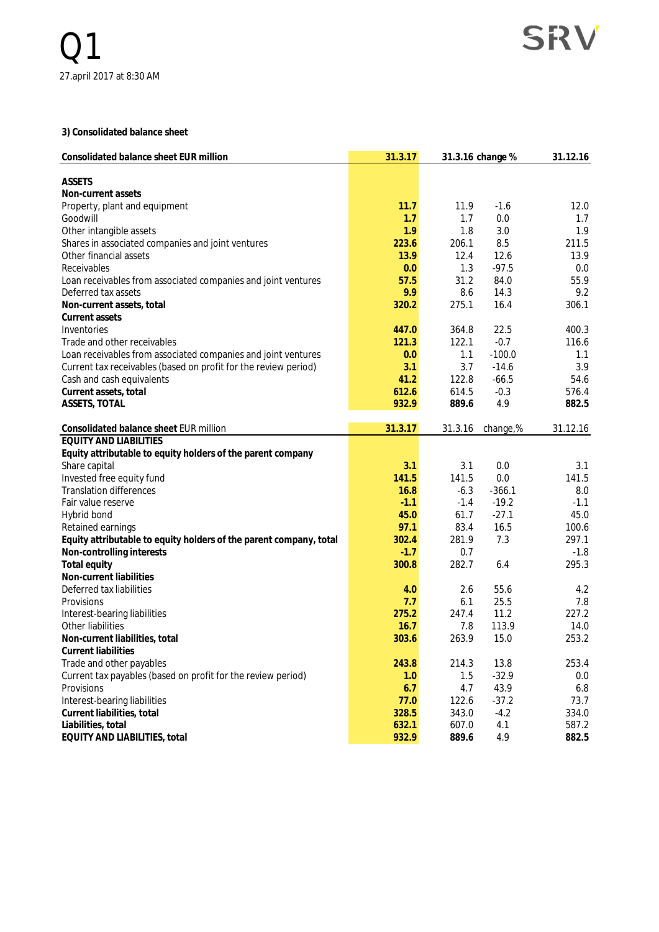**3) Consolidated balance sheet**

| Consolidated balance sheet EUR million                                               | 31.3.17 |         | 31.3.16 change % | 31.12.16 |
|--------------------------------------------------------------------------------------|---------|---------|------------------|----------|
| <b>ASSETS</b>                                                                        |         |         |                  |          |
| Non-current assets                                                                   |         |         |                  |          |
| Property, plant and equipment                                                        | 11.7    | 11.9    | $-1.6$           | 12.0     |
| Goodwill                                                                             | 1.7     | 1.7     | 0.0              | 1.7      |
| Other intangible assets                                                              | 1.9     | 1.8     | 3.0              | 1.9      |
| Shares in associated companies and joint ventures                                    | 223.6   | 206.1   | 8.5              | 211.5    |
| Other financial assets                                                               | 13.9    | 12.4    | 12.6             | 13.9     |
| Receivables                                                                          | 0.0     | 1.3     | $-97.5$          | 0.0      |
|                                                                                      | 57.5    | 31.2    | 84.0             | 55.9     |
| Loan receivables from associated companies and joint ventures<br>Deferred tax assets | 9.9     | 8.6     | 14.3             | 9.2      |
|                                                                                      |         | 275.1   |                  | 306.1    |
| Non-current assets, total                                                            | 320.2   |         | 16.4             |          |
| Current assets                                                                       |         |         |                  |          |
| Inventories                                                                          | 447.0   | 364.8   | 22.5             | 400.3    |
| Trade and other receivables                                                          | 121.3   | 122.1   | $-0.7$           | 116.6    |
| Loan receivables from associated companies and joint ventures                        | 0.0     | 1.1     | $-100.0$         | 1.1      |
| Current tax receivables (based on profit for the review period)                      | 3.1     | 3.7     | $-14.6$          | 3.9      |
| Cash and cash equivalents                                                            | 41.2    | 122.8   | $-66.5$          | 54.6     |
| Current assets, total                                                                | 612.6   | 614.5   | $-0.3$           | 576.4    |
| ASSETS, TOTAL                                                                        | 932.9   | 889.6   | 4.9              | 882.5    |
| Consolidated balance sheet EUR million                                               | 31.3.17 | 31.3.16 | change,%         | 31.12.16 |
| <b>EQUITY AND LIABILITIES</b>                                                        |         |         |                  |          |
| Equity attributable to equity holders of the parent company                          |         |         |                  |          |
| Share capital                                                                        | 3.1     | 3.1     | 0.0              | 3.1      |
| Invested free equity fund                                                            | 141.5   | 141.5   | 0.0              | 141.5    |
| <b>Translation differences</b>                                                       | 16.8    | $-6.3$  | $-366.1$         | 8.0      |
| Fair value reserve                                                                   | $-1.1$  | $-1.4$  | $-19.2$          | $-1.1$   |
| Hybrid bond                                                                          | 45.0    | 61.7    | $-27.1$          | 45.0     |
| Retained earnings                                                                    | 97.1    | 83.4    | 16.5             | 100.6    |
| Equity attributable to equity holders of the parent company, total                   | 302.4   | 281.9   | 7.3              | 297.1    |
| Non-controlling interests                                                            | $-1.7$  | 0.7     |                  | $-1.8$   |
| Total equity                                                                         | 300.8   | 282.7   | 6.4              | 295.3    |
| Non-current liabilities                                                              |         |         |                  |          |
| Deferred tax liabilities                                                             | 4.0     | 2.6     | 55.6             | 4.2      |
| Provisions                                                                           | 7.7     | 6.1     | 25.5             | 7.8      |
| Interest-bearing liabilities                                                         | 275.2   | 247.4   | 11.2             | 227.2    |
| Other liabilities                                                                    | 16.7    | 7.8     | 113.9            | 14.0     |
|                                                                                      | 303.6   |         |                  |          |
| Non-current liabilities, total<br><b>Current liabilities</b>                         |         | 263.9   | 15.0             | 253.2    |
|                                                                                      |         |         |                  |          |
| Trade and other payables                                                             | 243.8   | 214.3   | 13.8             | 253.4    |
| Current tax payables (based on profit for the review period)                         | 1.0     | 1.5     | $-32.9$          | 0.0      |
| Provisions                                                                           | 6.7     | 4.7     | 43.9             | 6.8      |
| Interest-bearing liabilities                                                         | 77.0    | 122.6   | $-37.2$          | 73.7     |
| Current liabilities, total                                                           | 328.5   | 343.0   | $-4.2$           | 334.0    |
| Liabilities, total                                                                   | 632.1   | 607.0   | 4.1              | 587.2    |
| EQUITY AND LIABILITIES, total                                                        | 932.9   | 889.6   | 4.9              | 882.5    |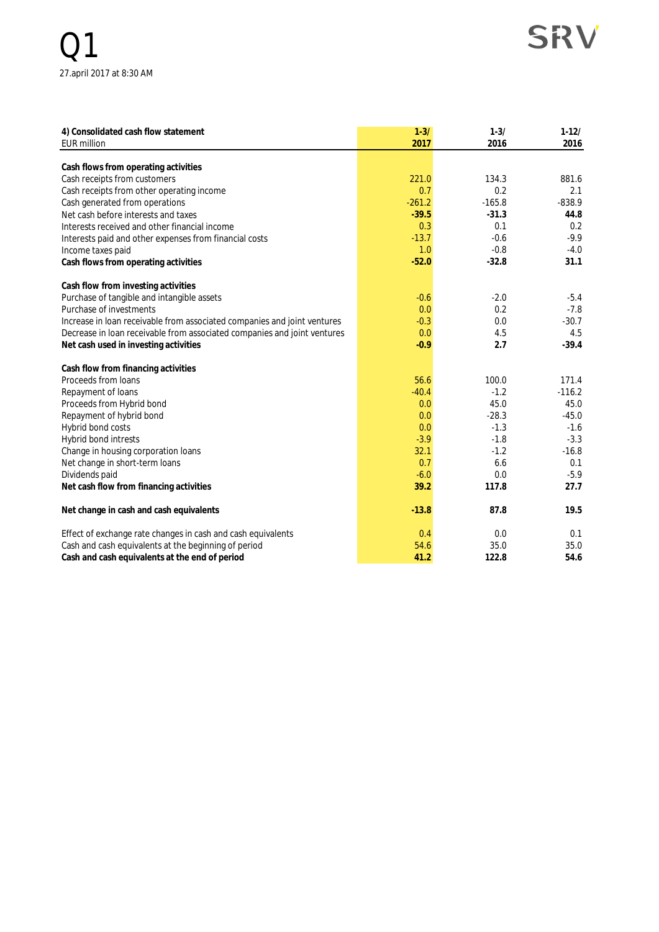## SRV

| 4) Consolidated cash flow statement                                      | $1 - 3/$ | $1 - 3/$ | $1 - 12/$ |
|--------------------------------------------------------------------------|----------|----------|-----------|
| <b>EUR million</b>                                                       | 2017     | 2016     | 2016      |
| Cash flows from operating activities                                     |          |          |           |
| Cash receipts from customers                                             | 221.0    | 134.3    | 881.6     |
| Cash receipts from other operating income                                | 0.7      | 0.2      | 2.1       |
| Cash generated from operations                                           | $-261.2$ | $-165.8$ | $-838.9$  |
| Net cash before interests and taxes                                      | $-39.5$  | $-31.3$  | 44.8      |
| Interests received and other financial income                            | 0.3      | 0.1      | 0.2       |
| Interests paid and other expenses from financial costs                   | $-13.7$  | $-0.6$   | $-9.9$    |
| Income taxes paid                                                        | 1.0      | $-0.8$   | $-4.0$    |
| Cash flows from operating activities                                     | $-52.0$  | $-32.8$  | 31.1      |
|                                                                          |          |          |           |
| Cash flow from investing activities                                      |          |          |           |
| Purchase of tangible and intangible assets                               | $-0.6$   | $-2.0$   | $-5.4$    |
| Purchase of investments                                                  | 0.0      | 0.2      | $-7.8$    |
| Increase in loan receivable from associated companies and joint ventures | $-0.3$   | 0.0      | $-30.7$   |
| Decrease in loan receivable from associated companies and joint ventures | 0.0      | 4.5      | 4.5       |
| Net cash used in investing activities                                    | $-0.9$   | 2.7      | $-39.4$   |
|                                                                          |          |          |           |
| Cash flow from financing activities                                      |          |          |           |
| Proceeds from loans                                                      | 56.6     | 100.0    | 171.4     |
| Repayment of loans                                                       | $-40.4$  | $-1.2$   | $-116.2$  |
| Proceeds from Hybrid bond                                                | 0.0      | 45.0     | 45.0      |
| Repayment of hybrid bond                                                 | 0.0      | $-28.3$  | $-45.0$   |
| Hybrid bond costs                                                        | 0.0      | $-1.3$   | $-1.6$    |
| Hybrid bond intrests                                                     | $-3.9$   | $-1.8$   | $-3.3$    |
| Change in housing corporation loans                                      | 32.1     | $-1.2$   | $-16.8$   |
| Net change in short-term loans                                           | 0.7      | 6.6      | 0.1       |
| Dividends paid                                                           | $-6.0$   | 0.0      | $-5.9$    |
| Net cash flow from financing activities                                  | 39.2     | 117.8    | 27.7      |
| Net change in cash and cash equivalents                                  | $-13.8$  | 87.8     | 19.5      |
| Effect of exchange rate changes in cash and cash equivalents             | 0.4      | 0.0      | 0.1       |
| Cash and cash equivalents at the beginning of period                     | 54.6     | 35.0     | 35.0      |
| Cash and cash equivalents at the end of period                           | 41.2     | 122.8    | 54.6      |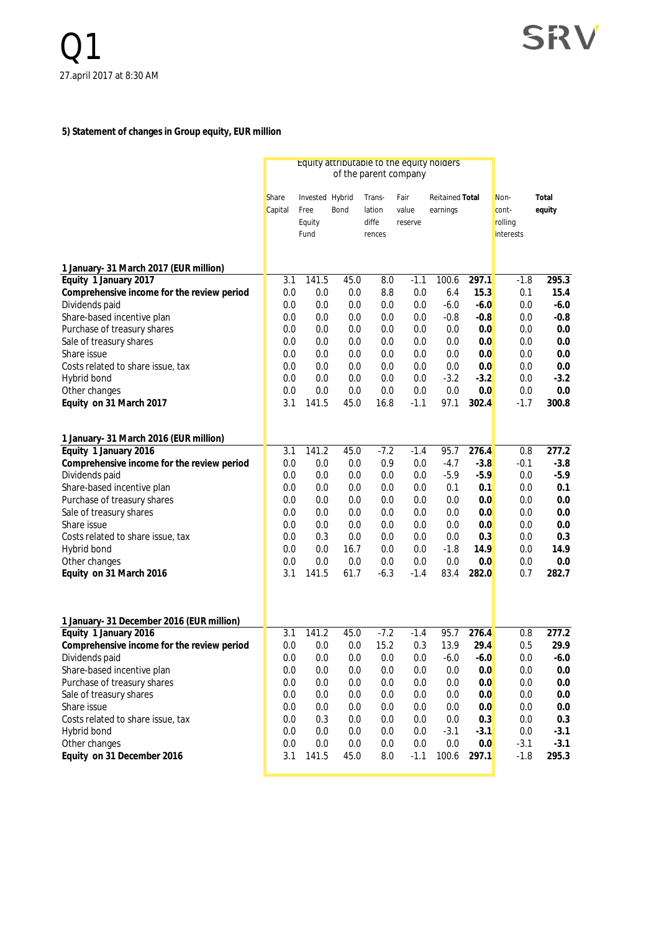#### **5) Statement of changes in Group equity, EUR million**

|                                                                 |            | Equity attributable to the equity holders<br>of the parent company |            |                 |            |                        |              |                      |                  |
|-----------------------------------------------------------------|------------|--------------------------------------------------------------------|------------|-----------------|------------|------------------------|--------------|----------------------|------------------|
|                                                                 | Share      | Invested Hybrid                                                    |            | Trans-          | Fair       | <b>Reitained Total</b> |              | Non-                 | Total            |
|                                                                 | Capital    | Free                                                               | Bond       | lation          | value      | earnings               |              | cont-                | equity           |
|                                                                 |            | Equity<br>Fund                                                     |            | diffe<br>rences | reserve    |                        |              | rolling<br>interests |                  |
|                                                                 |            |                                                                    |            |                 |            |                        |              |                      |                  |
| 1 January- 31 March 2017 (EUR million)                          |            |                                                                    |            |                 |            |                        |              |                      |                  |
| Equity 1 January 2017                                           | 3.1        | 141.5                                                              | 45.0       | 8.0             | $-1.1$     | 100.6                  | 297.1        | $-1.8$               | 295.3            |
| Comprehensive income for the review period                      | 0.0        | 0.0                                                                | 0.0        | 8.8             | 0.0        | 6.4                    | 15.3         | 0.1                  | 15.4             |
| Dividends paid                                                  | 0.0        | 0.0                                                                | 0.0        | 0.0             | 0.0        | $-6.0$                 | $-6.0$       | 0.0                  | $-6.0$           |
| Share-based incentive plan                                      | 0.0        | 0.0                                                                | 0.0        | 0.0             | 0.0        | $-0.8$                 | $-0.8$       | 0.0                  | $-0.8$           |
| Purchase of treasury shares                                     | 0.0        | 0.0                                                                | 0.0        | 0.0             | 0.0        | 0.0                    | 0.0          | 0.0                  | 0.0              |
| Sale of treasury shares                                         | 0.0        | 0.0                                                                | 0.0        | 0.0             | 0.0        | 0.0                    | 0.0          | 0.0                  | 0.0              |
| Share issue                                                     | 0.0        | 0.0                                                                | 0.0        | 0.0             | 0.0        | 0.0                    | 0.0          | 0.0                  | 0.0              |
| Costs related to share issue, tax                               | 0.0        | 0.0                                                                | 0.0        | 0.0             | 0.0        | 0.0                    | 0.0          | 0.0                  | 0.0              |
| Hybrid bond                                                     | 0.0        | 0.0                                                                | 0.0        | 0.0             | 0.0        | $-3.2$                 | $-3.2$       | 0.0                  | $-3.2$           |
| Other changes                                                   | 0.0        | 0.0                                                                | 0.0        | 0.0             | 0.0        | 0.0                    | 0.0          | 0.0                  | 0.0              |
| Equity on 31 March 2017                                         | 3.1        | 141.5                                                              | 45.0       | 16.8            | $-1.1$     | 97.1                   | 302.4        | $-1.7$               | 300.8            |
|                                                                 |            |                                                                    |            |                 |            |                        |              |                      |                  |
| 1 January- 31 March 2016 (EUR million)<br>Equity 1 January 2016 | 3.1        | 141.2                                                              | 45.0       | $-7.2$          | $-1.4$     | 95.7                   | 276.4        | 0.8                  | 277.2            |
| Comprehensive income for the review period                      | 0.0        | 0.0                                                                | 0.0        | 0.9             | 0.0        | $-4.7$                 | $-3.8$       | $-0.1$               | $-3.8$           |
| Dividends paid                                                  | 0.0        | 0.0                                                                | 0.0        | 0.0             | 0.0        | $-5.9$                 | $-5.9$       | 0.0                  | $-5.9$           |
| Share-based incentive plan                                      | 0.0        | 0.0                                                                | 0.0        | 0.0             | 0.0        | 0.1                    | 0.1          | 0.0                  | 0.1              |
| Purchase of treasury shares                                     | 0.0        | 0.0                                                                | 0.0        | 0.0             | 0.0        | 0.0                    | 0.0          | 0.0                  | 0.0              |
| Sale of treasury shares                                         | 0.0        | 0.0                                                                | 0.0        | 0.0             | 0.0        | 0.0                    | 0.0          | 0.0                  | 0.0              |
| Share issue                                                     | 0.0        | 0.0                                                                | 0.0        | 0.0             | 0.0        | 0.0                    | 0.0          | 0.0                  | 0.0              |
| Costs related to share issue, tax                               | 0.0        | 0.3                                                                | 0.0        | 0.0             | 0.0        | 0.0                    | 0.3          | 0.0                  | 0.3              |
| Hybrid bond                                                     | 0.0        | 0.0                                                                | 16.7       | 0.0             | 0.0        | $-1.8$                 | 14.9         | 0.0                  | 14.9             |
| Other changes                                                   | 0.0        | 0.0                                                                | 0.0        | 0.0             | 0.0        | 0.0                    | 0.0          | 0.0                  | 0.0              |
| Equity on 31 March 2016                                         | 3.1        | 141.5                                                              | 61.7       | $-6.3$          | $-1.4$     | 83.4                   | 282.0        | 0.7                  | 282.7            |
|                                                                 |            |                                                                    |            |                 |            |                        |              |                      |                  |
|                                                                 |            |                                                                    |            |                 |            |                        |              |                      |                  |
| 1 January- 31 December 2016 (EUR million)                       |            |                                                                    |            |                 |            |                        |              |                      |                  |
| Equity 1 January 2016                                           | 3.1        | 141.2                                                              | 45.0       | $-7.2$          | $-1.4$     | 95.7                   | 276.4        | 0.8                  | 277.2            |
| Comprehensive income for the review period                      | 0.0        | 0.0                                                                | 0.0        | 15.2            | 0.3        | 13.9                   | 29.4         | 0.5                  | 29.9             |
| Dividends paid                                                  | 0.0        | 0.0                                                                | 0.0        | 0.0             | 0.0        | $-6.0$                 | $-6.0$       | 0.0                  | $-6.0$           |
| Share-based incentive plan                                      | 0.0        | 0.0                                                                | 0.0        | 0.0             | 0.0        | 0.0                    | 0.0          | 0.0                  | $0.0\,$          |
| Purchase of treasury shares                                     | 0.0        | 0.0                                                                | 0.0        | 0.0             | 0.0        | 0.0                    | 0.0          | 0.0                  | 0.0              |
| Sale of treasury shares                                         | 0.0        | 0.0                                                                | 0.0        | 0.0             | 0.0        | 0.0                    | 0.0          | 0.0                  | 0.0              |
| Share issue                                                     | 0.0        | $0.0\,$                                                            | 0.0        | 0.0             | 0.0        | 0.0                    | 0.0          | $0.0\,$              | 0.0              |
| Costs related to share issue, tax                               | 0.0        | 0.3                                                                | 0.0        | 0.0             | 0.0        | 0.0                    | 0.3          | 0.0                  | 0.3              |
| Hybrid bond                                                     | 0.0<br>0.0 | 0.0<br>0.0                                                         | 0.0<br>0.0 | 0.0<br>0.0      | 0.0<br>0.0 | $-3.1$<br>0.0          | $-3.1$       | 0.0<br>$-3.1$        | $-3.1$<br>$-3.1$ |
| Other changes<br>Equity on 31 December 2016                     | 3.1        | 141.5                                                              | 45.0       | 8.0             | $-1.1$     | 100.6                  | 0.0<br>297.1 | $-1.8$               | 295.3            |
|                                                                 |            |                                                                    |            |                 |            |                        |              |                      |                  |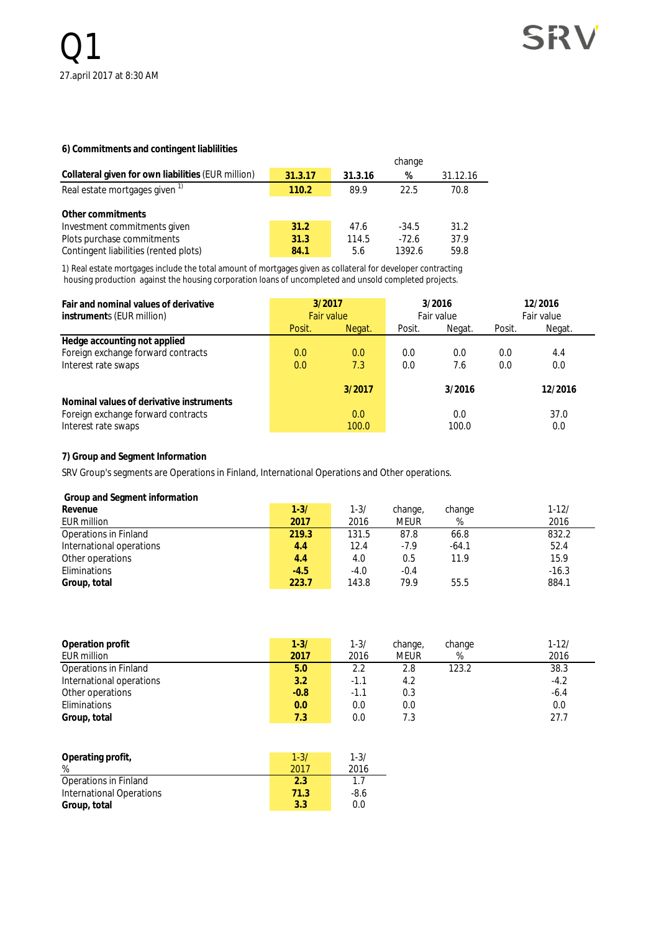#### **6) Commitments and contingent liablilities**

|                                                    |         |         | change  |          |
|----------------------------------------------------|---------|---------|---------|----------|
| Collateral given for own liabilities (EUR million) | 31.3.17 | 31.3.16 | %       | 31.12.16 |
| Real estate mortgages given <sup>1)</sup>          | 110.2   | 89.9    | 22.5    | 70.8     |
| Other commitments                                  |         |         |         |          |
| Investment commitments given                       | 31.2    | 47.6    | $-34.5$ | 31.2     |
| Plots purchase commitments                         | 31.3    | 114.5   | $-72.6$ | 37.9     |
| Contingent liabilities (rented plots)              | 84.1    | 5.6     | 1392.6  | 59.8     |

1) Real estate mortgages include the total amount of mortgages given as collateral for developer contracting housing production against the housing corporation loans of uncompleted and unsold completed projects.

| Fair and nominal values of derivative<br>instruments (EUR million) |        | 3/2016<br>3/2017<br>Fair value<br><b>Fair value</b> |        |              |        | 12/2016<br>Fair value |
|--------------------------------------------------------------------|--------|-----------------------------------------------------|--------|--------------|--------|-----------------------|
|                                                                    | Posit. | Negat.                                              | Posit. | Negat.       | Posit. | Negat.                |
| Hedge accounting not applied                                       |        |                                                     |        |              |        |                       |
| Foreign exchange forward contracts                                 | 0.0    | 0.0                                                 | 0.0    | 0.0          | 0.0    | 4.4                   |
| Interest rate swaps                                                | 0.0    | 7.3                                                 | 0.0    | 7.6          | 0.0    | 0.0                   |
| Nominal values of derivative instruments                           |        | 3/2017                                              |        | 3/2016       |        | 12/2016               |
| Foreign exchange forward contracts<br>Interest rate swaps          |        | 0.0<br>100.0                                        |        | 0.0<br>100.0 |        | 37.0<br>0.0           |

#### **7) Group and Segment Information**

SRV Group's segments are Operations in Finland, International Operations and Other operations.

 **Group and Segment information**

| Revenue                  | $1 - 3/$ | 1-3/   | change, | change  | $1 - 12/$ |
|--------------------------|----------|--------|---------|---------|-----------|
| EUR million              | 2017     | 2016   | meur    | %       | 2016      |
| Operations in Finland    | 219.3    | 131.5  | 87.8    | 66.8    | 832.2     |
| International operations | 4.4      | 12.4   | $-7.9$  | $-64.1$ | 52.4      |
| Other operations         | 4.4      | 4.0    | 0.5     | 11.9    | 15.9      |
| Eliminations             | $-4.5$   | $-4.0$ | $-0.4$  |         | $-16.3$   |
| Group, total             | 223.7    | 143.8  | 79.9    | 55.5    | 884.1     |
|                          |          |        |         |         |           |

| Operation profit         | $1 - 3/$ | $1 - 3/$ | change,     | change | $1 - 12/$ |
|--------------------------|----------|----------|-------------|--------|-----------|
| EUR million              | 2017     | 2016     | <b>MEUR</b> | %      | 2016      |
| Operations in Finland    | 5.0      | 2.2      | 2.8         | 123.2  | 38.3      |
| International operations | 3.2      | $-1.1$   | 4.2         |        | $-4.2$    |
| Other operations         | $-0.8$   | $-1.1$   | 0.3         |        | $-6.4$    |
| Eliminations             | 0.0      | 0.0      | 0.0         |        | 0.0       |
| Group, total             | 7.3      | 0.0      | 7.3         |        | 27.7      |

| Operating profit,<br>%          | $1 - 3/$<br>2017 | $1 - 3/$<br>2016 |
|---------------------------------|------------------|------------------|
| Operations in Finland           | 2.3              | 17               |
| <b>International Operations</b> | 71.3             | -8.6             |
| Group, total                    | 3.3              | 0.0              |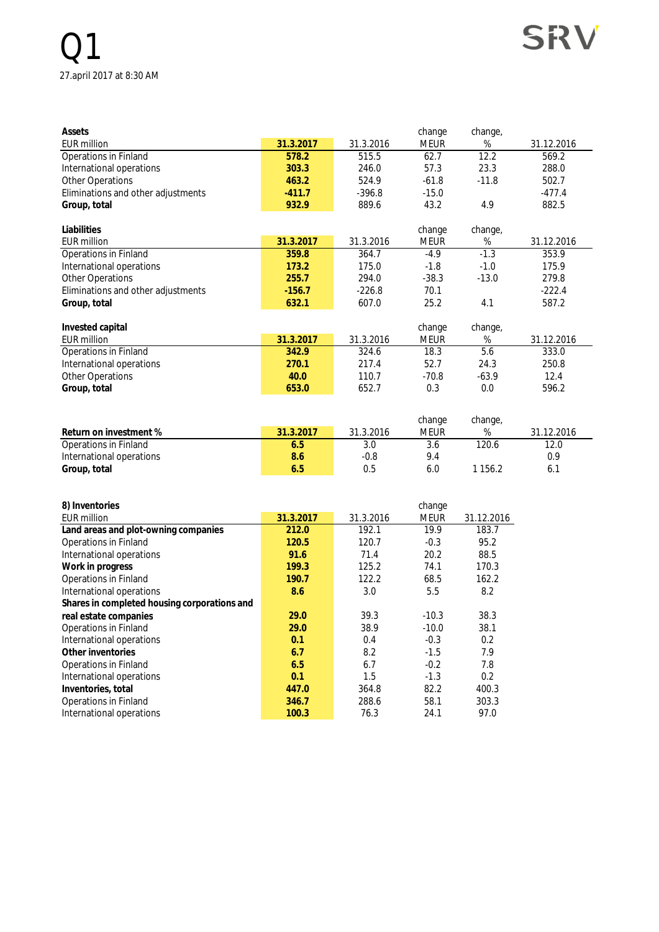## Q1 27.april 2017 at 8:30 AM

| Assets                             |           |           | change      | change, |            |
|------------------------------------|-----------|-----------|-------------|---------|------------|
| <b>EUR million</b>                 | 31.3.2017 | 31.3.2016 | <b>MEUR</b> | %       | 31.12.2016 |
| Operations in Finland              | 578.2     | 515.5     | 62.7        | 12.2    | 569.2      |
| International operations           | 303.3     | 246.0     | 57.3        | 23.3    | 288.0      |
| Other Operations                   | 463.2     | 524.9     | $-61.8$     | $-11.8$ | 502.7      |
| Eliminations and other adjustments | $-411.7$  | $-396.8$  | $-15.0$     |         | $-477.4$   |
| Group, total                       | 932.9     | 889.6     | 43.2        | 4.9     | 882.5      |
| Liabilities                        |           |           | change      | change, |            |
| <b>EUR million</b>                 | 31.3.2017 | 31.3.2016 | <b>MEUR</b> | %       | 31.12.2016 |
| <b>Operations in Finland</b>       | 359.8     | 364.7     | $-4.9$      | $-1.3$  | 353.9      |
| International operations           | 173.2     | 175.0     | $-1.8$      | $-1.0$  | 175.9      |
| <b>Other Operations</b>            | 255.7     | 294.0     | $-38.3$     | $-13.0$ | 279.8      |
| Eliminations and other adjustments | $-156.7$  | $-226.8$  | 70.1        |         | $-222.4$   |
| Group, total                       | 632.1     | 607.0     | 25.2        | 4.1     | 587.2      |
| Invested capital                   |           |           | change      | change, |            |
| <b>EUR million</b>                 | 31.3.2017 | 31.3.2016 | <b>MEUR</b> | %       | 31.12.2016 |
| Operations in Finland              | 342.9     | 324.6     | 18.3        | 5.6     | 333.0      |
| International operations           | 270.1     | 217.4     | 52.7        | 24.3    | 250.8      |
| Other Operations                   | 40.0      | 110.7     | $-70.8$     | $-63.9$ | 12.4       |
| Group, total                       | 653.0     | 652.7     | 0.3         | 0.0     | 596.2      |

**SRV** 

|                          |           |           | change | change, |            |
|--------------------------|-----------|-----------|--------|---------|------------|
| Return on investment %   | 31.3.2017 | 31.3.2016 | meur   | %       | 31.12.2016 |
| Operations in Finland    | 6.5       |           | 3.6    | 120.6   | 12.0       |
| International operations | 8.6       | $-0.8$    | 9.4    |         | 0.9        |
| Group, total             | 6.5       | 0.5       | 6.0    | . 156.2 |            |

| 8) Inventories                               |           |           | change  |            |
|----------------------------------------------|-----------|-----------|---------|------------|
| EUR million                                  | 31.3.2017 | 31.3.2016 | meur    | 31.12.2016 |
| Land areas and plot-owning companies         | 212.0     | 192.1     | 19.9    | 183.7      |
| Operations in Finland                        | 120.5     | 120.7     | $-0.3$  | 95.2       |
| International operations                     | 91.6      | 71.4      | 20.2    | 88.5       |
| Work in progress                             | 199.3     | 125.2     | 74.1    | 170.3      |
| Operations in Finland                        | 190.7     | 122.2     | 68.5    | 162.2      |
| International operations                     | 8.6       | 3.0       | 5.5     | 8.2        |
| Shares in completed housing corporations and |           |           |         |            |
| real estate companies                        | 29.0      | 39.3      | $-10.3$ | 38.3       |
| Operations in Finland                        | 29.0      | 38.9      | $-10.0$ | 38.1       |
| International operations                     | 0.1       | 0.4       | $-0.3$  | 0.2        |
| Other inventories                            | 6.7       | 8.2       | $-1.5$  | 7.9        |
| Operations in Finland                        | 6.5       | 6.7       | $-0.2$  | 7.8        |
| International operations                     | 0.1       | 1.5       | $-1.3$  | 0.2        |
| Inventories, total                           | 447.0     | 364.8     | 82.2    | 400.3      |
| Operations in Finland                        | 346.7     | 288.6     | 58.1    | 303.3      |
| International operations                     | 100.3     | 76.3      | 24.1    | 97.0       |